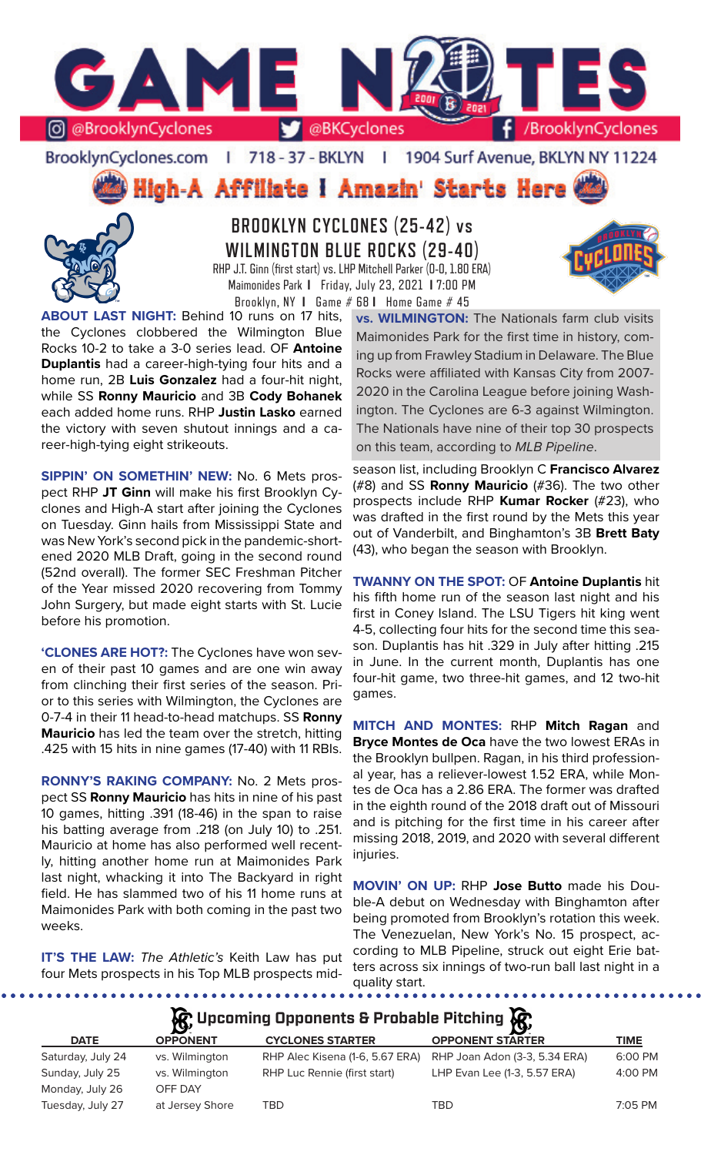

BrooklynCyclones.com | 718 - 37 - BKLYN - 11 1904 Surf Avenue, BKLYN NY 11224

High-A Affiliate I Amazin' Starts Here



**BROOKLYN CYCLONES (25-42) vs WILMINGTON BLUE ROCKS (29-40)** RHP J.T. Ginn (first start) vs. LHP Mitchell Parker (0-0, 1.80 ERA) Maimonides Park **I** Friday, July 23, 2021 **I** 7:00 PM Brooklyn, NY **I** Game # 68 **I** Home Game # 45

**ABOUT LAST NIGHT:** Behind 10 runs on 17 hits, the Cyclones clobbered the Wilmington Blue Rocks 10-2 to take a 3-0 series lead. OF **Antoine Duplantis** had a career-high-tying four hits and a home run, 2B **Luis Gonzalez** had a four-hit night, while SS **Ronny Mauricio** and 3B **Cody Bohanek**  each added home runs. RHP **Justin Lasko** earned the victory with seven shutout innings and a career-high-tying eight strikeouts.

**SIPPIN' ON SOMETHIN' NEW:** No. 6 Mets prospect RHP **JT Ginn** will make his first Brooklyn Cyclones and High-A start after joining the Cyclones on Tuesday. Ginn hails from Mississippi State and was New York's second pick in the pandemic-shortened 2020 MLB Draft, going in the second round (52nd overall). The former SEC Freshman Pitcher of the Year missed 2020 recovering from Tommy John Surgery, but made eight starts with St. Lucie before his promotion.

**'CLONES ARE HOT?:** The Cyclones have won seven of their past 10 games and are one win away from clinching their first series of the season. Prior to this series with Wilmington, the Cyclones are 0-7-4 in their 11 head-to-head matchups. SS **Ronny Mauricio** has led the team over the stretch, hitting .425 with 15 hits in nine games (17-40) with 11 RBIs.

**RONNY'S RAKING COMPANY:** No. 2 Mets prospect SS **Ronny Mauricio** has hits in nine of his past 10 games, hitting .391 (18-46) in the span to raise his batting average from .218 (on July 10) to .251. Mauricio at home has also performed well recently, hitting another home run at Maimonides Park last night, whacking it into The Backyard in right field. He has slammed two of his 11 home runs at Maimonides Park with both coming in the past two weeks.

**IT'S THE LAW:** *The Athletic's* Keith Law has put four Mets prospects in his Top MLB prospects mid-

. . . . . . . . . . . . . . . . . . .

**vs. WILMINGTON:** The Nationals farm club visits Maimonides Park for the first time in history, coming up from Frawley Stadium in Delaware. The Blue Rocks were affiliated with Kansas City from 2007- 2020 in the Carolina League before joining Washington. The Cyclones are 6-3 against Wilmington. The Nationals have nine of their top 30 prospects on this team, according to *MLB Pipeline*.

season list, including Brooklyn C **Francisco Alvarez**  (#8) and SS **Ronny Mauricio** (#36). The two other prospects include RHP **Kumar Rocker** (#23), who was drafted in the first round by the Mets this year out of Vanderbilt, and Binghamton's 3B **Brett Baty** (43), who began the season with Brooklyn.

**TWANNY ON THE SPOT:** OF **Antoine Duplantis** hit his fifth home run of the season last night and his first in Coney Island. The LSU Tigers hit king went 4-5, collecting four hits for the second time this season. Duplantis has hit .329 in July after hitting .215 in June. In the current month, Duplantis has one four-hit game, two three-hit games, and 12 two-hit games.

**MITCH AND MONTES:** RHP **Mitch Ragan** and **Bryce Montes de Oca** have the two lowest ERAs in the Brooklyn bullpen. Ragan, in his third professional year, has a reliever-lowest 1.52 ERA, while Montes de Oca has a 2.86 ERA. The former was drafted in the eighth round of the 2018 draft out of Missouri and is pitching for the first time in his career after missing 2018, 2019, and 2020 with several different injuries.

**MOVIN' ON UP:** RHP **Jose Butto** made his Double-A debut on Wednesday with Binghamton after being promoted from Brooklyn's rotation this week. The Venezuelan, New York's No. 15 prospect, according to MLB Pipeline, struck out eight Erie batters across six innings of two-run ball last night in a quality start.

**A**: Upcoming Opponents & Probable Pitching  $\mathbb{R}$ 

| <b>DATE</b>       | $\overline{\phantom{0}}$<br><b>OPPONENT</b> | <b>CYCLONES STARTER</b>         | <b>OPPONENT STARTER</b>       | TIME    |
|-------------------|---------------------------------------------|---------------------------------|-------------------------------|---------|
| Saturday, July 24 | vs. Wilmington                              | RHP Alec Kisena (1-6, 5.67 ERA) | RHP Joan Adon (3-3, 5.34 ERA) | 6:00 PM |
| Sunday, July 25   | vs. Wilmington                              | RHP Luc Rennie (first start)    | LHP Evan Lee (1-3, 5.57 ERA)  | 4:00 PM |
| Monday, July 26   | OFF DAY                                     |                                 |                               |         |
| Tuesday, July 27  | at Jersey Shore                             | TBD                             | TBD                           | 7:05 PM |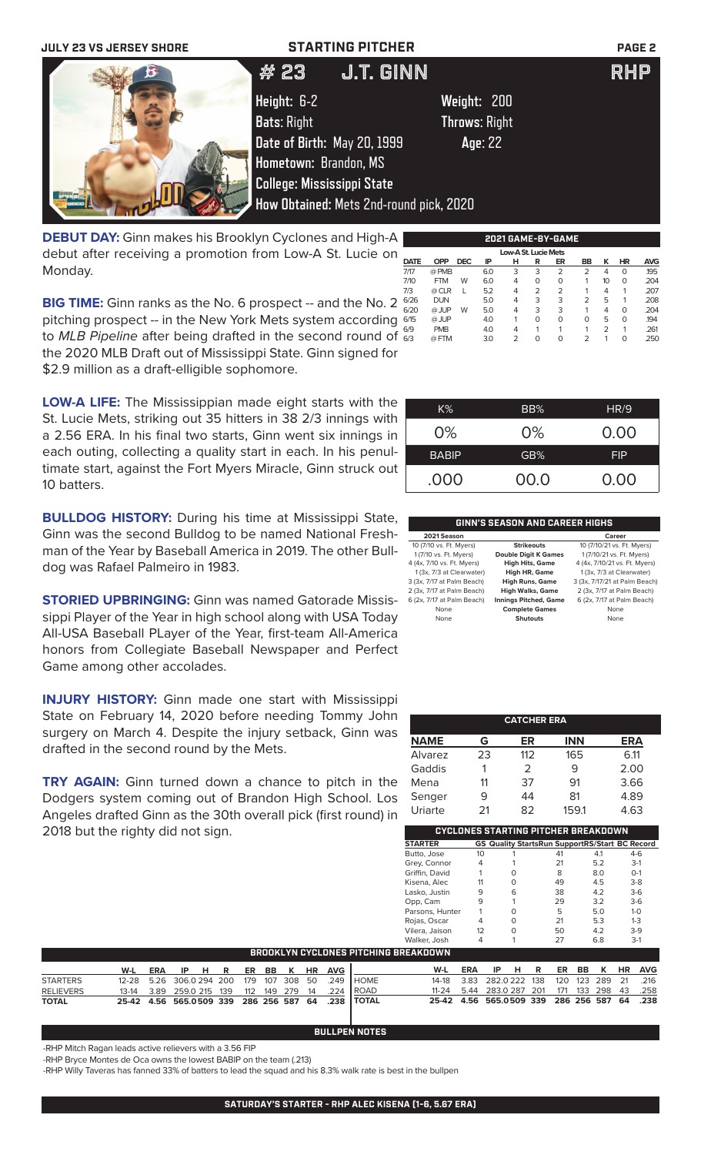| <b>JULY 23 VS JERSEY SHORE</b> | <b>STARTING PITCHER</b>                 |                      | PAGE <sub>2</sub> |
|--------------------------------|-----------------------------------------|----------------------|-------------------|
|                                | <b>J.T. GINN</b><br># 23                |                      | <b>RHP</b>        |
|                                | Height: 6-2                             | Weight: 200          |                   |
|                                | <b>Bats: Right</b>                      | <b>Throws: Right</b> |                   |
|                                | Date of Birth: May 20, 1999             | Age: 22              |                   |
|                                | Hometown: Brandon, MS                   |                      |                   |
|                                | <b>College: Mississippi State</b>       |                      |                   |
|                                | How Obtained: Mets 2nd-round pick, 2020 |                      |                   |
|                                |                                         |                      |                   |

**DEBUT DAY:** Ginn makes his Brooklyn Cyclones and High-A debut after receiving a promotion from Low-A St. Lucie on Monday.

6/26 DUN 5.0 4 3 3 2 5 1 .208 6/20 @ JUP W 5.0 4 3 3 1 4 0 .204 6/15 @ JUP4.0 1 0 0 0 5 0 .194 6/9 PMB 4.0 4 1 1 1 2 1 .261 6/3 @ FTM 3.0 2 0 0 2 1 0 .250 **BIG TIME:** Ginn ranks as the No. 6 prospect -- and the No. 2  $\frac{676}{600}$ pitching prospect -- in the New York Mets system according 645 to *MLB Pipeline* after being drafted in the second round of the 2020 MLB Draft out of Mississippi State. Ginn signed for \$2.9 million as a draft-elligible sophomore.

**LOW-A LIFE:** The Mississippian made eight starts with the St. Lucie Mets, striking out 35 hitters in 38 2/3 innings with a 2.56 ERA. In his final two starts, Ginn went six innings in each outing, collecting a quality start in each. In his penultimate start, against the Fort Myers Miracle, Ginn struck out 10 batters.

**BULLDOG HISTORY:** During his time at Mississippi State, Ginn was the second Bulldog to be named National Freshman of the Year by Baseball America in 2019. The other Bulldog was Rafael Palmeiro in 1983.

**STORIED UPBRINGING:** Ginn was named Gatorade Mississippi Player of the Year in high school along with USA Today All-USA Baseball PLayer of the Year, first-team All-America honors from Collegiate Baseball Newspaper and Perfect Game among other accolades.

**INJURY HISTORY:** Ginn made one start with Mississippi State on February 14, 2020 before needing Tommy John surgery on March 4. Despite the injury setback, Ginn was drafted in the second round by the Mets.

**TRY AGAIN:** Ginn turned down a chance to pitch in the Dodgers system coming out of Brandon High School. Los Angeles drafted Ginn as the 30th overall pick (first round) in 2018 but the righty did not sign.

| K%           | BB%   | HR/9       |
|--------------|-------|------------|
| 0%           | $0\%$ | 0.00       |
| <b>BABIP</b> | GB%   | <b>FIP</b> |
| .000         | 00.0  | 0.00       |

**2021 GAME-BY-GAME**

**DATE OPP DEC IP H R ER BB K HR AVG** 7/17 @ PMB 6.0 3 3 2 2 4 0 .195 7/10 FTM W 6.0 4 0 0 1 10 0 .204 7/3 @ CLR L 5.2 4 2 2 1 4 1 .207

Low-A St. Lucie Met<br>
DATE OPP DEC IP H R EI

### **GINN'S SEASON AND CAREER HIGHS**

| 2021 Season                |                              | Career                        |
|----------------------------|------------------------------|-------------------------------|
| 10 (7/10 vs. Ft. Myers)    | <b>Strikeouts</b>            | 10 (7/10/21 vs. Ft. Myers)    |
| 1 (7/10 vs. Ft. Myers)     | <b>Double Digit K Games</b>  | 1 (7/10/21 vs. Ft. Myers)     |
| 4 (4x, 7/10 vs. Ft. Myers) | <b>High Hits, Game</b>       | 4 (4x, 7/10/21 vs. Ft. Myers) |
| 1 (3x, 7/3 at Clearwater)  | High HR, Game                | 1(3x, 7/3 at Clearwater)      |
| 3 (3x, 7/17 at Palm Beach) | <b>High Runs, Game</b>       | 3 (3x, 7/17/21 at Palm Beach) |
| 2 (3x, 7/17 at Palm Beach) | <b>High Walks, Game</b>      | 2 (3x, 7/17 at Palm Beach)    |
| 6 (2x, 7/17 at Palm Beach) | <b>Innings Pitched, Game</b> | 6 (2x, 7/17 at Palm Beach)    |
| None                       | <b>Complete Games</b>        | None                          |
| None                       | <b>Shutouts</b>              | None                          |
|                            |                              |                               |

|                |    | <b>CATCHER ERA</b> |            |      |
|----------------|----|--------------------|------------|------|
| <b>NAME</b>    | G  | ER                 | <b>INN</b> | ERA  |
| <b>Alvarez</b> | 23 | 112                | 165        | 6.11 |
| Gaddis         |    | $\mathcal{P}$      | 9          | 2.00 |
| Mena           | 11 | 37                 | 91         | 3.66 |
| Senger         | 9  | 44                 | 81         | 4.89 |
| Uriarte        | 21 | 82                 | 159.1      | 4.63 |

| CYCLONES STARTING PITCHER BREAKDOWN |    |   |                                                       |     |         |  |  |
|-------------------------------------|----|---|-------------------------------------------------------|-----|---------|--|--|
| <b>STARTER</b>                      |    |   | <b>GS Quality StartsRun SupportRS/Start BC Record</b> |     |         |  |  |
| Butto, Jose                         | 10 |   | 41                                                    | 4.1 | $4-6$   |  |  |
| Grey, Connor                        | 4  |   | 21                                                    | 5.2 | $3-1$   |  |  |
| Griffin, David                      |    |   | 8                                                     | 8.0 | $O-1$   |  |  |
| Kisena, Alec                        | 11 |   | 49                                                    | 4.5 | $3-8$   |  |  |
| Lasko, Justin                       | 9  | 6 | 38                                                    | 4.2 | $3-6$   |  |  |
| Opp, Cam                            | 9  |   | 29                                                    | 3.2 | $3-6$   |  |  |
| Parsons, Hunter                     |    |   | 5                                                     | 5.0 | $1 - 0$ |  |  |
| Rojas, Oscar                        | 4  |   | 21                                                    | 5.3 | $1 - 3$ |  |  |
| Vilera, Jaison                      | 12 |   | 50                                                    | 4.2 | $3-9$   |  |  |
| Walker, Josh                        | 4  |   | 27                                                    | 6.8 | $3-1$   |  |  |
| <b>!EAKDO</b>                       |    |   |                                                       |     |         |  |  |

| <b>BROOKLYN CYCLONES PITCHING BREAKDOWN</b> |  |  |  |  |  |  |  |  |  |                                      |                                                             |                                              |                               |  |  |  |  |
|---------------------------------------------|--|--|--|--|--|--|--|--|--|--------------------------------------|-------------------------------------------------------------|----------------------------------------------|-------------------------------|--|--|--|--|
|                                             |  |  |  |  |  |  |  |  |  | <u>W-L ERA IP H R ER BB K HR AVG</u> |                                                             |                                              | W-L ERA IP H R ER BB K HR AVG |  |  |  |  |
| <b>STARTERS</b>                             |  |  |  |  |  |  |  |  |  |                                      | 12-28  5.26  306.0  294  200  179  107  308  50  .249  HOME | 14-18 3.83 282.0 222 138 120 123 289 21 .216 |                               |  |  |  |  |
| <b>RELIEVERS</b>                            |  |  |  |  |  |  |  |  |  |                                      | 13-14  3.89  259.0  215  139  112  149  279  14  .224  ROAD | 11-24 5.44 283.0 287 201 171 133 298 43 .258 |                               |  |  |  |  |
| <b>TOTAL</b>                                |  |  |  |  |  |  |  |  |  |                                      | 25-42 4.56 565.0509 339 286 256 587 64 .238 TOTAL           | 25-42 4.56 565.0509 339 286 256 587 64 .238  |                               |  |  |  |  |

### **BULLPEN NOTES**

-RHP Mitch Ragan leads active relievers with a 3.56 FIP

-RHP Bryce Montes de Oca owns the lowest BABIP on the team (.213)

-RHP Willy Taveras has fanned 33% of batters to lead the squad and his 8.3% walk rate is best in the bullpen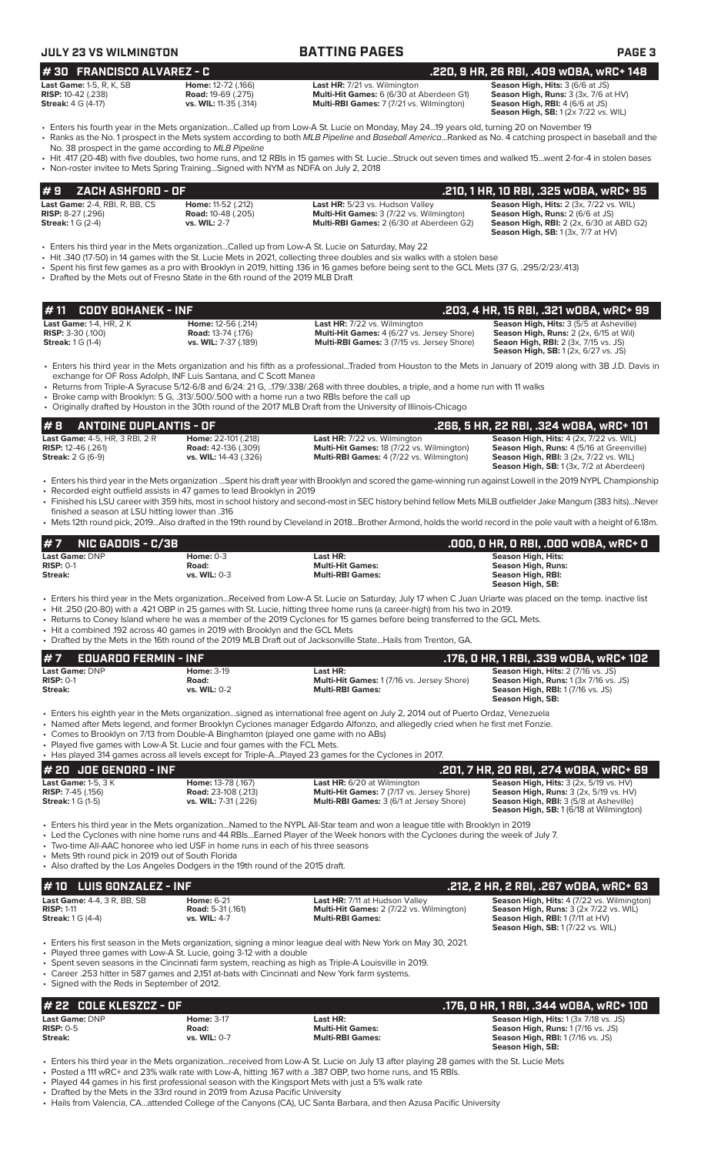| <b>JULY 23 VS WILMINGTON</b>                                                                                                                                                                                             |                                                                            | <b>BATTING PAGES</b>                                                                                                                                                                                                                                                                                                                                                                                                                                                                                                                          | PAGE <sub>3</sub>                                                                                                                                                                 |
|--------------------------------------------------------------------------------------------------------------------------------------------------------------------------------------------------------------------------|----------------------------------------------------------------------------|-----------------------------------------------------------------------------------------------------------------------------------------------------------------------------------------------------------------------------------------------------------------------------------------------------------------------------------------------------------------------------------------------------------------------------------------------------------------------------------------------------------------------------------------------|-----------------------------------------------------------------------------------------------------------------------------------------------------------------------------------|
| #30 FRANCISCO ALVAREZ - C                                                                                                                                                                                                |                                                                            |                                                                                                                                                                                                                                                                                                                                                                                                                                                                                                                                               | .220, 9 HR, 26 RBI, .409 w0BA, wRC+ 148                                                                                                                                           |
| <b>Last Game: 1-5, R, K, SB</b><br><b>RISP:</b> 10-42 (.238)<br><b>Streak:</b> 4 G (4-17)                                                                                                                                | Home: 12-72 (.166)<br><b>Road: 19-69 (.275)</b><br>vs. WIL: 11-35 (.314)   | Last HR: 7/21 vs. Wilmington<br>Multi-Hit Games: 6 (6/30 at Aberdeen G1)<br>Multi-RBI Games: 7 (7/21 vs. Wilmington)                                                                                                                                                                                                                                                                                                                                                                                                                          | Season High, Hits: 3 (6/6 at JS)<br>Season High, Runs: 3 (3x, 7/6 at HV)<br>Season High, RBI: 4 (6/6 at JS)<br><b>Season High, SB:</b> 1 (2x 7/22 vs. WIL)                        |
| No. 38 prospect in the game according to MLB Pipeline                                                                                                                                                                    |                                                                            | • Enters his fourth year in the Mets organizationCalled up from Low-A St. Lucie on Monday, May 2419 years old, turning 20 on November 19<br>• Ranks as the No. 1 prospect in the Mets system according to both MLB Pipeline and Baseball AmericaRanked as No. 4 catching prospect in baseball and the                                                                                                                                                                                                                                         |                                                                                                                                                                                   |
| • Non-roster invitee to Mets Spring TrainingSigned with NYM as NDFA on July 2, 2018                                                                                                                                      |                                                                            | • Hit .417 (20-48) with five doubles, two home runs, and 12 RBIs in 15 games with St. LucieStruck out seven times and walked 15went 2-for-4 in stolen bases                                                                                                                                                                                                                                                                                                                                                                                   |                                                                                                                                                                                   |
| #9<br>ZACH ASHFORD - OF                                                                                                                                                                                                  |                                                                            |                                                                                                                                                                                                                                                                                                                                                                                                                                                                                                                                               | .210, 1 HR, 10 RBI, .325 w0BA, wRC+ 95                                                                                                                                            |
| Last Game: 2-4, RBI, R, BB, CS<br><b>RISP:</b> 8-27 (.296)<br><b>Streak:</b> 1 G (2-4)                                                                                                                                   | Home: 11-52 (.212)<br><b>Road:</b> 10-48 (.205)<br>vs. WIL: 2-7            | Last HR: 5/23 vs. Hudson Valley<br>Multi-Hit Games: 3 (7/22 vs. Wilmington)<br>Multi-RBI Games: 2 (6/30 at Aberdeen G2)                                                                                                                                                                                                                                                                                                                                                                                                                       | Season High, Hits: 2 (3x, 7/22 vs. WIL)<br>Season High, Runs: 2 (6/6 at JS)<br><b>Season High, RBI:</b> 2 (2x, 6/30 at ABD G2)<br><b>Season High, SB: 1 (3x, 7/7 at HV)</b>       |
| • Drafted by the Mets out of Fresno State in the 6th round of the 2019 MLB Draft                                                                                                                                         |                                                                            | Enters his third year in the Mets organizationCalled up from Low-A St. Lucie on Saturday, May 22<br>• Hit .340 (17-50) in 14 games with the St. Lucie Mets in 2021, collecting three doubles and six walks with a stolen base<br>• Spent his first few games as a pro with Brooklyn in 2019, hitting .136 in 16 games before being sent to the GCL Mets (37 G, .295/2/23/.413)                                                                                                                                                                |                                                                                                                                                                                   |
| <b>CODY BOHANEK - INF</b><br># 11                                                                                                                                                                                        |                                                                            |                                                                                                                                                                                                                                                                                                                                                                                                                                                                                                                                               | .203, 4 HR, 15 RBI, .321 wOBA, wRC+ 99                                                                                                                                            |
| <b>Last Game: 1-4, HR, 2 K</b><br><b>RISP: 3-30 (.100)</b><br><b>Streak: 1 G (1-4)</b>                                                                                                                                   | Home: 12-56 (.214)<br><b>Road: 13-74 (.176)</b><br>vs. WIL: 7-37 (.189)    | Last HR: 7/22 vs. Wilmington<br>Multi-Hit Games: 4 (6/27 vs. Jersey Shore)<br>Multi-RBI Games: 3 (7/15 vs. Jersey Shore)                                                                                                                                                                                                                                                                                                                                                                                                                      | Season High, Hits: 3 (5/5 at Asheville)<br>Season High, Runs: 2 (2x, 6/15 at Wil)<br>Seaon High, RBI: 2 (3x, 7/15 vs. JS)<br>Season High, SB: 1 (2x, 6/27 vs. JS)                 |
|                                                                                                                                                                                                                          | exchange for OF Ross Adolph, INF Luis Santana, and C Scott Manea           | • Enters his third year in the Mets organization and his fifth as a professionalTraded from Houston to the Mets in January of 2019 along with 3B J.D. Davis in<br>• Returns from Triple-A Syracuse 5/12-6/8 and 6/24: 21 G, 179/.338/.268 with three doubles, a triple, and a home run with 11 walks<br>• Broke camp with Brooklyn: 5 G, .313/.500/.500 with a home run a two RBIs before the call up<br>• Originally drafted by Houston in the 30th round of the 2017 MLB Draft from the University of Illinois-Chicago                      |                                                                                                                                                                                   |
| <b>ANTOINE DUPLANTIS - OF</b><br>#8                                                                                                                                                                                      |                                                                            |                                                                                                                                                                                                                                                                                                                                                                                                                                                                                                                                               | .266, 5 HR, 22 RBI, .324 wOBA, wRC+101                                                                                                                                            |
| Last Game: 4-5, HR, 3 RBI, 2 R<br><b>RISP:</b> 12-46 (.261)<br><b>Streak:</b> 2 G (6-9)                                                                                                                                  | Home: 22-101 (.218)<br><b>Road:</b> 42-136 (.309)<br>vs. WIL: 14-43 (.326) | Last HR: 7/22 vs. Wilmington<br>Multi-Hit Games: 18 (7/22 vs. Wilmington)<br>Multi-RBI Games: 4 (7/22 vs. Wilmington)                                                                                                                                                                                                                                                                                                                                                                                                                         | Season High, Hits: 4 (2x, 7/22 vs. WIL)<br>Season High, Runs: 4 (5/16 at Greenville)<br><b>Season High, RBI:</b> 3 (2x, 7/22 vs. WIL)<br>Season High, SB: 1 (3x, 7/2 at Aberdeen) |
| • Recorded eight outfield assists in 47 games to lead Brooklyn in 2019<br>finished a season at LSU hitting lower than .316                                                                                               |                                                                            | • Enters his third year in the Mets organization Spent his draft year with Brooklyn and scored the game-winning run against Lowell in the 2019 NYPL Championship<br>• Finished his LSU career with 359 hits, most in school history and second-most in SEC history behind fellow Mets MiLB outfielder Jake Mangum (383 hits)Never                                                                                                                                                                                                             |                                                                                                                                                                                   |
|                                                                                                                                                                                                                          |                                                                            | • Mets 12th round pick, 2019Also drafted in the 19th round by Cleveland in 2018Brother Armond, holds the world record in the pole vault with a height of 6.18m.                                                                                                                                                                                                                                                                                                                                                                               |                                                                                                                                                                                   |
| <b>NIC GADDIS - C/3B</b><br>#7                                                                                                                                                                                           |                                                                            |                                                                                                                                                                                                                                                                                                                                                                                                                                                                                                                                               | .000, 0 HR, 0 RBI, .000 w0BA, wRC+ 0                                                                                                                                              |
| Last Game: DNP<br>$RISP: 0-1$<br><b>Streak:</b>                                                                                                                                                                          | <b>Home: 0-3</b><br>Road:<br>vs. WIL: 0-3                                  | Last HR:<br><b>Multi-Hit Games:</b><br><b>Multi-RBI Games:</b>                                                                                                                                                                                                                                                                                                                                                                                                                                                                                | Season High, Hits:<br><b>Season High, Runs:</b><br>Season High, RBI:<br>Season High, SB:                                                                                          |
| • Hit a combined .192 across 40 games in 2019 with Brooklyn and the GCL Mets                                                                                                                                             |                                                                            | • Enters his third year in the Mets organizationReceived from Low-A St. Lucie on Saturday, July 17 when C Juan Uriarte was placed on the temp. inactive list<br>• Hit .250 (20-80) with a .421 OBP in 25 games with St. Lucie, hitting three home runs (a career-high) from his two in 2019.<br>• Returns to Coney Island where he was a member of the 2019 Cyclones for 15 games before being transferred to the GCL Mets.<br>• Drafted by the Mets in the 16th round of the 2019 MLB Draft out of Jacksonville StateHails from Trenton, GA. |                                                                                                                                                                                   |
| #7<br><b>EDUARDO FERMIN - INF</b>                                                                                                                                                                                        |                                                                            |                                                                                                                                                                                                                                                                                                                                                                                                                                                                                                                                               | .176, O HR, 1 RBI, .339 wOBA, wRC+ 102                                                                                                                                            |
| Last Game: DNP<br><b>RISP: 0-1</b><br>Streak:                                                                                                                                                                            | Home: $3-19$<br>Road:<br>vs. WIL: 0-2                                      | Last HR:<br>Multi-Hit Games: 1 (7/16 vs. Jersey Shore)<br><b>Multi-RBI Games:</b>                                                                                                                                                                                                                                                                                                                                                                                                                                                             | Season High, Hits: 2 (7/16 vs. JS)<br>Season High, Runs: 1 (3x 7/16 vs. JS)<br><b>Season High, RBI:</b> 1 (7/16 vs. JS)<br>Season High, SB:                                       |
| • Comes to Brooklyn on 7/13 from Double-A Binghamton (played one game with no ABs)<br>• Played five games with Low-A St. Lucie and four games with the FCL Mets.                                                         |                                                                            | • Enters his eighth year in the Mets organizationsigned as international free agent on July 2, 2014 out of Puerto Ordaz, Venezuela<br>• Named after Mets legend, and former Brooklyn Cyclones manager Edgardo Alfonzo, and allegedly cried when he first met Fonzie.<br>• Has played 314 games across all levels except for Triple-APlayed 23 games for the Cyclones in 2017.                                                                                                                                                                 |                                                                                                                                                                                   |
| # 20 JOE GENORD - INF                                                                                                                                                                                                    |                                                                            |                                                                                                                                                                                                                                                                                                                                                                                                                                                                                                                                               | .201, 7 HR, 20 RBI, .274 w0BA, wRC+ 69                                                                                                                                            |
| <b>Last Game: 1-5, 3 K</b><br><b>RISP: 7-45 (.156)</b><br><b>Streak:</b> 1 G (1-5)                                                                                                                                       | Home: 13-78 (.167)<br><b>Road:</b> 23-108 (.213)<br>vs. WIL: 7-31 (.226)   | Last HR: 6/20 at Wilmington<br>Multi-Hit Games: 7 (7/17 vs. Jersey Shore)<br>Multi-RBI Games: 3 (6/1 at Jersey Shore)                                                                                                                                                                                                                                                                                                                                                                                                                         | Season High, Hits: 3 (2x, 5/19 vs. HV)<br>Season High, Runs: 3 (2x, 5/19 vs. HV)<br>Season High, RBI: 3 (5/8 at Asheville)<br><b>Season High, SB: 1 (6/18 at Wilmington)</b>      |
| • Two-time All-AAC honoree who led USF in home runs in each of his three seasons<br>• Mets 9th round pick in 2019 out of South Florida<br>• Also drafted by the Los Angeles Dodgers in the 19th round of the 2015 draft. |                                                                            | • Enters his third year in the Mets organization…Named to the NYPL All-Star team and won a league title with Brooklyn in 2019<br>• Led the Cyclones with nine home runs and 44 RBIsEarned Player of the Week honors with the Cyclones during the week of July 7.                                                                                                                                                                                                                                                                              |                                                                                                                                                                                   |
| <b>LUIS GONZALEZ - INF</b><br># 10                                                                                                                                                                                       |                                                                            |                                                                                                                                                                                                                                                                                                                                                                                                                                                                                                                                               | .212, 2 HR, 2 RBI, .267 wDBA, wRC+ 63                                                                                                                                             |
| Last Game: 4-4, 3 R, BB, SB<br><b>RISP: 1-11</b><br><b>Streak:</b> 1 G (4-4)                                                                                                                                             | <b>Home: 6-21</b><br><b>Road: 5-31 (.161)</b><br>vs. WIL: 4-7              | Last HR: 7/11 at Hudson Valley<br>Multi-Hit Games: 2 (7/22 vs. Wilmington)<br><b>Multi-RBI Games:</b>                                                                                                                                                                                                                                                                                                                                                                                                                                         | Season High, Hits: 4 (7/22 vs. Wilmington)<br>Season High, Runs: 3 (2x 7/22 vs. WIL)<br><b>Season High, RBI: 1 (7/11 at HV)</b><br><b>Season High, SB: 1 (7/22 vs. WIL)</b>       |
| • Played three games with Low-A St. Lucie, going 3-12 with a double<br>• Signed with the Reds in September of 2012.                                                                                                      |                                                                            | • Enters his first season in the Mets organization, signing a minor league deal with New York on May 30, 2021.<br>• Spent seven seasons in the Cincinnati farm system, reaching as high as Triple-A Louisville in 2019.<br>• Career .253 hitter in 587 games and 2,151 at-bats with Cincinnati and New York farm systems.                                                                                                                                                                                                                     |                                                                                                                                                                                   |
| # 22 COLE KLESZCZ - OF                                                                                                                                                                                                   |                                                                            |                                                                                                                                                                                                                                                                                                                                                                                                                                                                                                                                               | .176, 0 HR, 1 RBI, .344 wOBA, wRC+ 100                                                                                                                                            |
| Last Game: DNP                                                                                                                                                                                                           | <b>Home: 3-17</b>                                                          | Last HR:                                                                                                                                                                                                                                                                                                                                                                                                                                                                                                                                      | Season High, Hits: 1 (3x 7/18 vs. JS)                                                                                                                                             |
| <b>RISP: 0-5</b><br>Streak:                                                                                                                                                                                              | Road:<br>vs. WIL: 0-7                                                      | <b>Multi-Hit Games:</b><br><b>Multi-RBI Games:</b>                                                                                                                                                                                                                                                                                                                                                                                                                                                                                            | Season High, Runs: 1 (7/16 vs. JS)<br>Season High, RBI: 1 (7/16 vs. JS)<br>Season High, SB:                                                                                       |

• Enters his third year in the Mets organization...received from Low-A St. Lucie on July 13 after playing 28 games with the St. Lucie Mets

• Posted a 111 wRC+ and 23% walk rate with Low-A, hitting .167 with a .387 OBP, two home runs, and 15 RBIs.

• Played 44 games in his first professional season with the Kingsport Mets with just a 5% walk rate

• Drafted by the Mets in the 33rd round in 2019 from Azusa Pacific University

• Hails from Valencia, CA...attended College of the Canyons (CA), UC Santa Barbara, and then Azusa Pacific University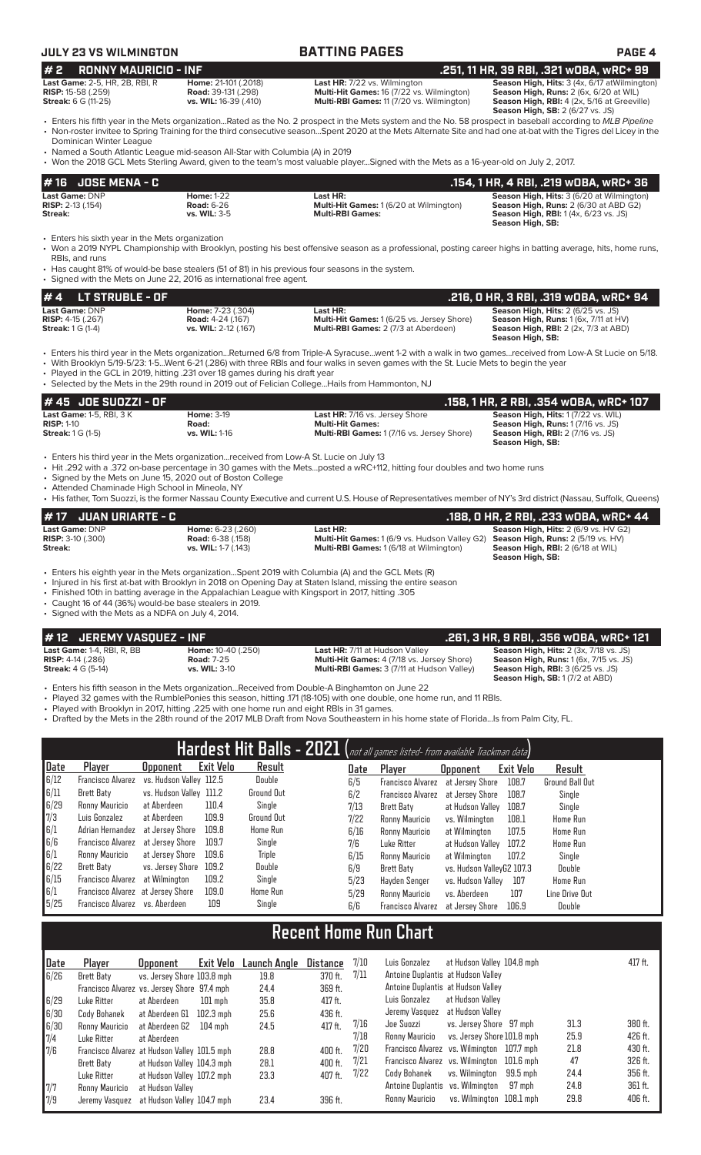## **JULY 23 VS WILMINGTON BATTING PAGES PAGE 4**

### **# 2 RONNY MAURICIO - INF .251, 11 HR, 39 RBI, .321 wOBA, wRC+ 99 Last Game:** 2-5, HR, 2B, RBI, R **Home:** 21-101 (.2018) **Last HR:** 7/22 vs. Wilmington **Season High, Hits:** 3 (4x, 6/17 atWilmington) **RISP: 15-58 (.255)** RBI, R **Home: 21-101 (.2018) RISP: 7/22** vs. Wilmington<br> **RISP:** 15-58 (.259) **Road: 39-131 (.298) Multi-Hit Games: 16 (7/22 vs. Wilmington)<br>
<b>Streak: 6 G (11-25) vs. WIL:** 16-39 (.410) Multi-RBI Gam

**Streak:** 6 G (11-25) **vs. WIL:** 16-39 (.410) **Multi-RBI Games:** 11 (7/20 vs. Wilmington) **Season High, RBI:** 4 (2x, 5/16 at Greeville)

**Season High, SB:** 2 (6/27 vs. JS)

- Enters his fifth year in the Mets organization...Rated as the No. 2 prospect in the Mets system and the No. 58 prospect in baseball according to *MLB Pipeline* • Non-roster invitee to Spring Training for the third consecutive season...Spent 2020 at the Mets Alternate Site and had one at-bat with the Tigres del Licey in the Dominican Winter League
- Named a South Atlantic League mid-season All-Star with Columbia (A) in 2019
- Won the 2018 GCL Mets Sterling Award, given to the team's most valuable player...Signed with the Mets as a 16-year-old on July 2, 2017.

| # 16 JOSE MENA - C         |                   |                                                | .154. 1 HR. 4 RBI. .219 wOBA. wRC+ 36        |
|----------------------------|-------------------|------------------------------------------------|----------------------------------------------|
| <b>Last Game: DNP</b>      | <b>Home: 1-22</b> | Last HR:                                       | Season High, Hits: 3 (6/20 at Wilmington)    |
| <b>RISP:</b> $2-13$ (.154) | <b>Road: 6-26</b> | <b>Multi-Hit Games: 1 (6/20 at Wilmington)</b> | <b>Season High, Runs: 2 (6/30 at ABD G2)</b> |
| Streak:                    | vs. WIL: $3-5$    | <b>Multi-RBI Games:</b>                        | <b>Season High, RBI:</b> 1(4x, 6/23 vs. JS)  |
|                            |                   |                                                | Season High, SB:                             |

Enters his sixth year in the Mets organization

• Won a 2019 NYPL Championship with Brooklyn, posting his best offensive season as a professional, posting career highs in batting average, hits, home runs, RBIs, and runs

• Has caught 81% of would-be base stealers (51 of 81) in his previous four seasons in the system.

• Signed with the Mets on June 22, 2016 as international free agent.

| $# 4$ LT STRUBLE - OF      |                          |                                                   | .216, 0 HR, 3 RBI, .319 w0BA, wRC+ 94               |
|----------------------------|--------------------------|---------------------------------------------------|-----------------------------------------------------|
| Last Game: DNP             | <b>Home:</b> 7-23 (.304) | Last HR:                                          | <b>Season High, Hits: 2 (6/25 vs. JS)</b>           |
| <b>RISP:</b> $4-15$ (.267) | <b>Road:</b> 4-24 (.167) | <b>Multi-Hit Games: 1 (6/25 vs. Jersey Shore)</b> | <b>Season High, Runs:</b> $1(6x, 7/11$ at $HV$ )    |
| <b>Streak:</b> 1 G (1-4)   | vs. WIL: 2-12 (.167)     | <b>Multi-RBI Games: 2 (7/3 at Aberdeen)</b>       | <b>Season High, RBI:</b> $2$ ( $2x$ , $7/3$ at ABD) |
|                            |                          |                                                   | Season High, SB:                                    |

• Enters his third year in the Mets organization...Returned 6/8 from Triple-A Syracuse...went 1-2 with a walk in two games...received from Low-A St Lucie on 5/18.

• With Brooklyn 5/19-5/23: 1-5...Went 6-21 (.286) with three RBIs and four walks in seven games with the St. Lucie Mets to begin the year

Played in the GCL in 2019, hitting .231 over 18 games during his draft year

• Selected by the Mets in the 29th round in 2019 out of Felician College...Hails from Hammonton, NJ

| $#45$ JOE SUOZZI - OF               |                      |                                                   | .158, 1 HR, 2 RBI, .354 wOBA, wRC+ 107   |
|-------------------------------------|----------------------|---------------------------------------------------|------------------------------------------|
| <b>Last Game: 1-5, RBI, 3 K</b>     | <b>Home: 3-19</b>    | <b>Last HR: 7/16 vs. Jersey Shore</b>             | Season High, Hits: 1 (7/22 vs. WIL)      |
| $RISP: 1-10$                        | Road:                | <b>Multi-Hit Games:</b>                           | <b>Season High, Runs: 1(7/16 vs. JS)</b> |
| <b>Streak:</b> $1 \text{ G } (1-5)$ | <b>vs. WIL: 1-16</b> | <b>Multi-RBI Games: 1 (7/16 vs. Jersey Shore)</b> | <b>Season High, RBI:</b> 2 (7/16 vs. JS) |
|                                     |                      |                                                   | Season High, SB:                         |

• Enters his third year in the Mets organization...received from Low-A St. Lucie on July 13

• Hit .292 with a .372 on-base percentage in 30 games with the Mets...posted a wRC+112, hitting four doubles and two home runs

• Signed by the Mets on June 15, 2020 out of Boston College

• Attended Chaminade High School in Mineola, NY

• His father, Tom Suozzi, is the former Nassau County Executive and current U.S. House of Representatives member of NY's 3rd district (Nassau, Suffolk, Queens)

| $# 17$ JUAN URIARTE - C    |                          |                                                      | .188, 0 HR, 2 RBI, .233 w0BA, wRC+ 44       |
|----------------------------|--------------------------|------------------------------------------------------|---------------------------------------------|
| Last Game: DNP             | <b>Home: 6-23 (.260)</b> | Last HR:                                             | <b>Season High, Hits: 2 (6/9 vs. HV G2)</b> |
| <b>RISP:</b> $3-10$ (.300) | <b>Road:</b> 6-38 (.158) | <b>Multi-Hit Games:</b> 1 (6/9 vs. Hudson Valley G2) | <b>Season High, Runs: 2 (5/19 vs. HV)</b>   |
| Streak:                    | vs. WIL: $1-7$ (.143)    | <b>Multi-RBI Games:</b> 1 (6/18 at Wilmington)       | <b>Season High, RBI:</b> 2 (6/18 at WIL)    |
|                            |                          |                                                      | Season High, SB:                            |

• Enters his eighth year in the Mets organization...Spent 2019 with Columbia (A) and the GCL Mets (R)

• Injured in his first at-bat with Brooklyn in 2018 on Opening Day at Staten Island, missing the entire season

• Finished 10th in batting average in the Appalachian League with Kingsport in 2017, hitting .305

• Caught 16 of 44 (36%) would-be base stealers in 2019.

• Signed with the Mets as a NDFA on July 4, 2014.

# **# 12 JEREMY VASQUEZ - INF .261, 3 HR, 9 RBI, .356 wOBA, wRC+ 121**

**Last Game:** 1-4, RBI, R, BB **Home:** 10-40 (.250) **Last HR:** 7/11 at Hudson Valley **Season High, Hits:** 2 (3x, 7/18 vs. JS) **RISP:** 4-14 (.286) **Road: 7-25 Road: 7-25 Multi-Hit Games:** 4 (7/18 vs. Jersey Shore) **Season High, Runs: 1** (6x, 7/15 vs. JS)<br>**Riveak:** 4 G (5-14) **vs. WIL:** 3-10 **Multi-RBI Games:** 3 (7/11 at Hudson Valley) **Season Multi-RBI Games:** 3 (7/11 at Hudson Valley)

**Season High, SB:** 1 (7/2 at ABD)

• Enters his fifth season in the Mets organization...Received from Double-A Binghamton on June 22

• Played 32 games with the RumblePonies this season, hitting .171 (18-105) with one double, one home run, and 11 RBIs.

Played with Brooklyn in 2017, hitting .225 with one home run and eight RBIs in 31 games.

• Drafted by the Mets in the 28th round of the 2017 MLB Draft from Nova Southeastern in his home state of Florida...Is from Palm City, FL.

| Hardest Hit Balls - 2021 (not all games listed- from available Trackman data) |                                   |                         |                  |                   |  |      |                          |                           |           |                        |
|-------------------------------------------------------------------------------|-----------------------------------|-------------------------|------------------|-------------------|--|------|--------------------------|---------------------------|-----------|------------------------|
| Date                                                                          | Player                            | <b>Upponent</b>         | <b>Exit Velo</b> | Result            |  | Date | Player                   | <b>Opponent</b>           | Exit Velo | Result                 |
| 6/12                                                                          | Francisco Alvarez                 | vs. Hudson Valley 112.5 |                  | Double            |  | 6/5  | <b>Francisco Alvarez</b> | at Jersev Shore           | 108.7     | <b>Ground Ball Out</b> |
| 6/11                                                                          | Brett Baty                        | vs. Hudson Valley 111.2 |                  | <b>Ground Out</b> |  | 6/2  | <b>Francisco Alvarez</b> | at Jersev Shore           | 108.7     | Single                 |
| 6/29                                                                          | Ronny Mauricio                    | at Aberdeen             | 110.4            | Single            |  | 7/13 | Brett Baty               | at Hudson Valley          | 108.7     | Single                 |
|                                                                               | Luis Gonzalez                     | at Aberdeen             | 109.9            | Ground Out        |  | 7/22 | Ronny Mauricio           | vs. Wilminaton            | 108.1     | Home Run               |
| $\begin{bmatrix} 7/3 \\ 6/1 \\ 6/6 \end{bmatrix}$                             | Adrian Hernandez                  | at Jersey Shore         | 109.8            | Home Run          |  | 6/16 | Ronny Mauricio           | at Wilmington             | 107.5     | Home Run               |
|                                                                               | Francisco Alvarez                 | at Jersev Shore         | 109.7            | Single            |  | 7/6  | Luke Ritter              | at Hudson Valley          | 107.2     | Home Run               |
| 6/1                                                                           | Ronny Mauricio                    | at Jersev Shore         | 109.6            | Triple            |  | 6/15 | Ronny Mauricio           | at Wilmington             | 107.2     | Single                 |
| 6/22                                                                          | Brett Baty                        | vs. Jersey Shore        | 109.2            | Double            |  | 6/9  | Brett Baty               | vs. Hudson VallevG2 107.3 |           | Double                 |
| 6/15                                                                          | Francisco Alvarez                 | at Wilmington           | 109.2            | Single            |  | 5/23 | Havden Senger            | vs. Hudson Vallev         | 107       | <b>Home Run</b>        |
| 6/1                                                                           | Francisco Alvarez at Jersey Shore |                         | 109.0            | Home Run          |  | 5/29 | Ronny Mauricio           | vs. Aberdeen              | 107       | Line Drive Out         |
| 5/25                                                                          | Francisco Alvarez vs. Aberdeen    |                         | 109              | Single            |  | 6/6  | <b>Francisco Alvarez</b> | at Jersev Shore           | 106.9     | Double                 |

# **Recent Home Run Chart**

| Date | Plaver                                       | Opponent                   | Exit Velo   | Launch Angle | Distance  | 7/10 | Luis Gonzalez                              | at Hudson Valley 104.8 mph |          |      | 417 ft. |
|------|----------------------------------------------|----------------------------|-------------|--------------|-----------|------|--------------------------------------------|----------------------------|----------|------|---------|
| 6/26 | Brett Baty                                   | vs. Jersey Shore 103.8 mph |             | 19.8         | 370 ft.   | 7/11 | Antoine Duplantis at Hudson Valley         |                            |          |      |         |
|      | Francisco Alvarez vs. Jersey Shore 97.4 mph  |                            |             | 24.4         | 369 ft.   |      | Antoine Duplantis at Hudson Valley         |                            |          |      |         |
| 6/29 | Luke Ritter                                  | at Aberdeen                | $101$ mph   | 35.8         | $417$ ft. |      | Luis Gonzalez                              | at Hudson Vallev           |          |      |         |
| 6/30 | Cody Bohanek                                 | at Aberdeen G1             | $102.3$ mph | 25.6         | 436 ft.   |      | Jeremy Vasquez                             | at Hudson Vallev           |          |      |         |
| 6/30 | Ronny Mauricio                               | at Aberdeen G2             | $104$ mph   | 24.5         | $417$ ft. | 7/16 | Joe Suozzi                                 | vs. Jersey Shore 97 mph    |          | 31.3 | 380 ft. |
| 7/4  | Luke Ritter                                  | at Aberdeen                |             |              |           | 7/18 | Ronny Mauricio                             | vs. Jersey Shore 101.8 mph |          | 25.9 | 426 ft. |
| 7/6  | Francisco Alvarez at Hudson Valley 101.5 mph |                            |             | 28.8         | 400 ft.   | 7/20 | Francisco Alvarez vs. Wilmington 107.7 mph |                            |          | 21.8 | 430 ft. |
|      | Brett Baty                                   | at Hudson Valley 104.3 mph |             | 28.1         | 400 ft.   | 7/21 | Francisco Alvarez vs. Wilmington 101.6 mph |                            |          | 47   | 326 ft. |
|      | Luke Ritter                                  | at Hudson Valley 107.2 mph |             | 23.3         | 407 ft.   | 7/22 | Cody Bohanek                               | vs. Wilminaton             | 99.5 mph | 24.4 | 356 ft. |
| 7/7  | Ronny Mauricio                               | at Hudson Valley           |             |              |           |      | Antoine Duplantis vs. Wilmington           |                            | 97 mph   | 24.8 | 361 ft. |
| 17/9 | Jeremy Vasquez                               | at Hudson Valley 104.7 mph |             | 23.4         | 396 ft.   |      | Ronny Mauricio                             | vs. Wilmington 108.1 mph   |          | 29.8 | 406 ft. |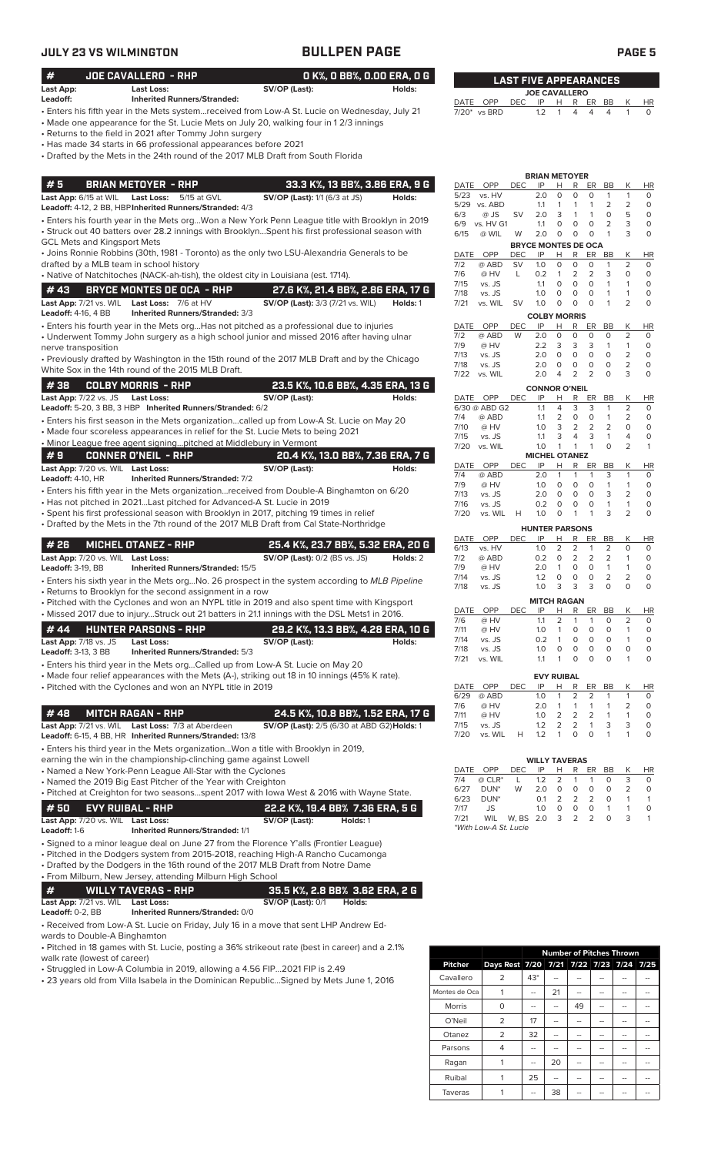|                                                          | JULY 23 VS WILMINGTON                                                                                                                                                                                                                                                                                                                                                                                    | <b>BULLPEN PAGE</b>                                                    |                            |                    |                                      |                  |                                                 |                                                   |                        |                              | PAGE <sub>5</sub>                   |                                 |
|----------------------------------------------------------|----------------------------------------------------------------------------------------------------------------------------------------------------------------------------------------------------------------------------------------------------------------------------------------------------------------------------------------------------------------------------------------------------------|------------------------------------------------------------------------|----------------------------|--------------------|--------------------------------------|------------------|-------------------------------------------------|---------------------------------------------------|------------------------|------------------------------|-------------------------------------|---------------------------------|
| #                                                        | JOE CAVALLERO - RHP                                                                                                                                                                                                                                                                                                                                                                                      |                                                                        | O K%, O BB%, O.OO ERA, O G |                    |                                      |                  | <b>LAST FIVE APPEARANCES</b>                    |                                                   |                        |                              |                                     |                                 |
| Last App:<br>Leadoff:                                    | <b>Last Loss:</b><br><b>Inherited Runners/Stranded:</b>                                                                                                                                                                                                                                                                                                                                                  | SV/OP (Last):                                                          | Holds:                     |                    |                                      |                  | <b>JOE CAVALLERO</b>                            |                                                   |                        |                              |                                     |                                 |
|                                                          | Enters his fifth year in the Mets systemreceived from Low-A St. Lucie on Wednesday, July 21 •<br>• Made one appearance for the St. Lucie Mets on July 20, walking four in 12/3 innings<br>Returns to the field in 2021 after Tommy John surgery •<br>• Has made 34 starts in 66 professional appearances before 2021<br>• Drafted by the Mets in the 24th round of the 2017 MLB Draft from South Florida |                                                                        |                            |                    | DATE OPP<br>7/20* vs BRD             | <b>DEC</b>       | IP<br>1.2                                       | н<br>R.<br>1<br>4                                 | ER<br>4                | BB<br>$\overline{4}$         | Κ<br>1                              | <b>HR</b><br>$\circ$            |
|                                                          |                                                                                                                                                                                                                                                                                                                                                                                                          |                                                                        |                            |                    |                                      |                  | <b>BRIAN METOYER</b>                            |                                                   |                        |                              |                                     |                                 |
| #5<br>Last App: 6/15 at WIL                              | <b>BRIAN METOYER - RHP</b><br>Last Loss: 5/15 at GVL<br>Leadoff: 4-12, 2 BB, HBP Inherited Runners/Stranded: 4/3                                                                                                                                                                                                                                                                                         | 33.3 K%, 13 BB%, 3.86 ERA, 9 G<br><b>SV/OP (Last):</b> 1/1 (6/3 at JS) | Holds:                     | DATE<br>5/23       | OPP<br>vs. HV<br>5/29 vs. ABD        | <b>DEC</b>       | IP<br>2.0<br>1.1                                | R<br>н<br>0<br>0<br>1<br>1                        | ER<br>$\circ$<br>1     | BB<br>$\mathbf{1}$<br>2      | К<br>$\mathbf{1}$<br>$\overline{2}$ | <b>HR</b><br>$\circ$<br>$\circ$ |
| <b>GCL Mets and Kingsport Mets</b>                       | · Enters his fourth year in the Mets orgWon a New York Penn League title with Brooklyn in 2019<br>· Struck out 40 batters over 28.2 innings with BrooklynSpent his first professional season with                                                                                                                                                                                                        |                                                                        |                            | 6/3<br>6/9<br>6/15 | @ JS<br>vs. HV G1<br>@ WIL           | SV<br>W          | 2.0<br>1.1<br>2.0<br><b>BRYCE MONTES DE OCA</b> | 3<br>$\mathbf{1}$<br>0<br>0<br>$\circ$<br>$\circ$ | $\mathbf{1}$<br>0<br>0 | 0<br>2<br>$\mathbf{1}$       | 5<br>3<br>3                         | $\circ$<br>$\circ$<br>$\circ$   |
|                                                          | • Joins Ronnie Robbins (30th, 1981 - Toronto) as the only two LSU-Alexandria Generals to be<br>drafted by a MLB team in school history                                                                                                                                                                                                                                                                   |                                                                        |                            | DATE<br>7/2        | OPP<br>@ ABD                         | DEC<br><b>SV</b> | IP<br>1.0                                       | R<br>Н<br>$\circ$<br>0                            | ER<br>$\circ$          | BB<br>$\mathbf{1}$           | К<br>2                              | <b>HR</b><br>$\circ$            |
|                                                          | • Native of Natchitoches (NACK-ah-tish), the oldest city in Louisiana (est. 1714).                                                                                                                                                                                                                                                                                                                       |                                                                        |                            | 7/6                | @ HV                                 | L                | 0.2                                             | 2<br>$\mathbf{1}$                                 | 2                      | 3                            | 0                                   | $\circ$                         |
| #43                                                      | <b>BRYCE MONTES DE OCA - RHP</b>                                                                                                                                                                                                                                                                                                                                                                         | 27.6 K%, 21.4 BB%, 2.86 ERA, 17 G                                      |                            | 7/15<br>7/18       | vs. JS<br>vs. JS                     |                  | 1.1<br>1.0                                      | $\circ$<br>$\circ$<br>0<br>0                      | $\circ$<br>0           | $\mathbf{1}$<br>$\mathbf{1}$ | 1<br>1                              | $\circ$<br>$\circ$              |
| <b>Last App:</b> 7/21 vs. WIL                            | Last Loss: 7/6 at HV                                                                                                                                                                                                                                                                                                                                                                                     | <b>SV/OP (Last):</b> 3/3 (7/21 vs. WIL)                                | Holds: 1                   | 7/21               | vs. WIL                              | <b>SV</b>        | 1.0                                             | $\circ$<br>$\circ$                                | $\circ$                | $\mathbf{1}$                 | $\overline{2}$                      | $\circ$                         |
| <b>Leadoff:</b> 4-16, 4 BB                               | Inherited Runners/Stranded: 3/3<br>$\bullet$ Enters his fourth year in the Mets orgHas not pitched as a professional due to injuries                                                                                                                                                                                                                                                                     |                                                                        |                            | DATE               | OPP                                  | <b>DEC</b>       | <b>COLBY MORRIS</b><br>IP                       | н<br>R                                            | ER                     | BB                           | К                                   | <b>HR</b>                       |
|                                                          | • Underwent Tommy John surgery as a high school junior and missed 2016 after having ulnar                                                                                                                                                                                                                                                                                                                |                                                                        |                            | 7/2                | @ ABD                                | W                | 2.0                                             | $\circ$<br>0                                      | $\circ$                | 0                            | $\overline{c}$                      | $\circ$                         |
| nerve transposition                                      |                                                                                                                                                                                                                                                                                                                                                                                                          |                                                                        |                            | 7/9<br>7/13        | @ HV<br>vs. JS                       |                  | 2.2<br>2.0                                      | 3<br>3<br>$\circ$<br>$\circ$                      | 3<br>$\circ$           | $\mathbf{1}$<br>$\circ$      | $\mathbf{1}$<br>$\overline{2}$      | $\circ$<br>$\circ$              |
|                                                          | • Previously drafted by Washington in the 15th round of the 2017 MLB Draft and by the Chicago<br>White Sox in the 14th round of the 2015 MLB Draft.                                                                                                                                                                                                                                                      |                                                                        |                            | 7/18               | vs. JS                               |                  | 2.0                                             | 0<br>0                                            | 0                      | $\circ$                      | $\overline{2}$                      | $\circ$                         |
| #38                                                      | <b>COLBY MORRIS - RHP</b>                                                                                                                                                                                                                                                                                                                                                                                | 23.5 K%, 10.6 BB%, 4.35 ERA, 13 G                                      |                            | 7/22               | vs. WIL                              |                  | 2.0                                             | 2<br>$\overline{4}$                               | 2                      | $\circ$                      | 3                                   | $\circ$                         |
| <b>Last App:</b> 7/22 vs. JS                             | <b>Last Loss:</b>                                                                                                                                                                                                                                                                                                                                                                                        | SV/OP (Last):                                                          | Holds:                     |                    | DATE OPP                             | DEC              | <b>CONNOR O'NEIL</b><br>IP                      | Н<br>R                                            | ER                     | BB                           | К                                   | <b>HR</b>                       |
|                                                          | Leadoff: 5-20, 3 BB, 3 HBP Inherited Runners/Stranded: 6/2                                                                                                                                                                                                                                                                                                                                               |                                                                        |                            | 7/4                | 6/30 @ ABD G2<br>@ ABD               |                  | 1.1<br>1.1                                      | $\overline{4}$<br>3<br>2<br>0                     | 3<br>$\circ$           | $\mathbf{1}$<br>$\mathbf{1}$ | $\overline{2}$<br>2                 | $\circ$<br>$\circ$              |
|                                                          | Enters his first season in the Mets organizationcalled up from Low-A St. Lucie on May 20 •<br>• Made four scoreless appearances in relief for the St. Lucie Mets to being 2021                                                                                                                                                                                                                           |                                                                        |                            | 7/10               | @ HV                                 |                  | 1.0                                             | 3<br>2                                            | 2                      | 2                            | $\Omega$                            | $\circ$                         |
|                                                          | . Minor League free agent signingpitched at Middlebury in Vermont                                                                                                                                                                                                                                                                                                                                        |                                                                        |                            | 7/15<br>7/20       | vs. JS<br>vs. WIL                    |                  | 1.1<br>1.0                                      | 3<br>4<br>$\mathbf{1}$<br>$\mathbf{1}$            | 3<br>$\mathbf{1}$      | $\mathbf{1}$<br>$\circ$      | 4<br>2                              | $\circ$<br>$\mathbf{1}$         |
| #9                                                       | <b>CONNER O'NEIL - RHP</b>                                                                                                                                                                                                                                                                                                                                                                               | 20.4 K%, 13.0 BB%, 7.36 ERA, 7 G                                       |                            |                    |                                      |                  | <b>MICHEL OTANEZ</b>                            |                                                   |                        |                              |                                     |                                 |
| Last App: 7/20 vs. WIL Last Loss:                        |                                                                                                                                                                                                                                                                                                                                                                                                          | SV/OP (Last):                                                          | Holds:                     | 7/4                | DATE OPP<br>@ ABD                    | <b>DEC</b>       | IP<br>2.0                                       | R<br>н<br>$\mathbf{1}$<br>$\mathbf{1}$            | ER<br>$\mathbf{1}$     | BB<br>3                      | К<br>$\mathbf{1}$                   | <b>HR</b><br>$\circ$            |
| <b>Leadoff: 4-10, HR</b>                                 | <b>Inherited Runners/Stranded: 7/2</b>                                                                                                                                                                                                                                                                                                                                                                   |                                                                        |                            | 7/9                | @ HV                                 |                  | 1.0                                             | $\circ$<br>$\circ$                                | $\circ$                | $\mathbf{1}$                 | $\mathbf{1}$                        | $\circ$                         |
|                                                          | • Enters his fifth year in the Mets organization…received from Double-A Binghamton on 6/20<br>• Has not pitched in 2021Last pitched for Advanced-A St. Lucie in 2019                                                                                                                                                                                                                                     |                                                                        |                            | 7/13<br>7/16       | vs. JS<br>vs. JS                     |                  | 2.0<br>0.2                                      | $\circ$<br>$\circ$<br>$\circ$<br>$\circ$          | $\circ$<br>$\circ$     | 3<br>$\mathbf{1}$            | 2<br>$\mathbf{1}$                   | $\circ$<br>$\circ$              |
|                                                          | · Spent his first professional season with Brooklyn in 2017, pitching 19 times in relief<br>• Drafted by the Mets in the 7th round of the 2017 MLB Draft from Cal State-Northridge                                                                                                                                                                                                                       |                                                                        |                            | 7/20               | vs. WIL                              | H                | 1.0<br><b>HUNTER PARSONS</b>                    | $\circ$<br>$\mathbf{1}$                           | $\mathbf{1}$           | 3                            | $\overline{2}$                      | $\circ$                         |
| #26                                                      | <b>MICHEL OTANEZ - RHP</b>                                                                                                                                                                                                                                                                                                                                                                               | 25.4 K%, 23.7 BB%, 5.32 ERA, 20 G                                      |                            | DATE<br>6/13       | OPP<br>vs. HV                        | <b>DEC</b>       | IP<br>1.0                                       | R<br>H<br>2<br>2                                  | ER<br>$\overline{1}$   | BB<br>2                      | Κ<br>$\circ$                        | HR<br>$\circ$                   |
| Last App: 7/20 vs. WIL Last Loss:                        |                                                                                                                                                                                                                                                                                                                                                                                                          | <b>SV/OP (Last):</b> 0/2 (BS vs. JS) Holds: 2                          |                            | 7/2                | @ ABD                                |                  |                                                 | $0.2 \quad 0 \quad 2$                             | 2                      | $\overline{2}$               | -1                                  | $\circ$                         |
| <b>Leadoff:</b> 3-19, BB                                 | Inherited Runners/Stranded: 15/5<br>• Enters his sixth year in the Mets orgNo. 26 prospect in the system according to MLB Pipeline                                                                                                                                                                                                                                                                       |                                                                        |                            | 7/9<br>7/14        | @ HV<br>vs. JS                       |                  | 2.0<br>1.2                                      | $\overline{1}$<br>0<br>$\circ$<br>0               | 0<br>0                 | $\mathbf{1}$<br>2            | 1<br>2                              | 0<br>0                          |
|                                                          | • Returns to Brooklyn for the second assignment in a row                                                                                                                                                                                                                                                                                                                                                 |                                                                        |                            | 7/18               | vs. JS                               |                  | 1.0                                             | 3<br>3                                            | 3                      | $\circ$                      | $\circ$                             | 0                               |
|                                                          | • Pitched with the Cyclones and won an NYPL title in 2019 and also spent time with Kingsport                                                                                                                                                                                                                                                                                                             |                                                                        |                            | DATE               | OPP                                  | DEC              | <b>MITCH RAGAN</b><br>IP                        | H                                                 | R ER BB                |                              | К                                   |                                 |
|                                                          | • Missed 2017 due to injuryStruck out 21 batters in 21.1 innings with the DSL Mets1 in 2016.                                                                                                                                                                                                                                                                                                             |                                                                        |                            | 7/6                | @ HV                                 |                  | 1.1                                             | 2<br>$\mathbf{1}$                                 | 1                      | 0                            | 2                                   | HR<br>0                         |
| #44                                                      | <b>HUNTER PARSONS - RHP</b>                                                                                                                                                                                                                                                                                                                                                                              | 29.2 K%, 13.3 BB%, 4.28 ERA, 10 G                                      |                            | 7/11<br>7/14       | @ HV<br>vs. JS                       |                  | 1.0<br>0.2                                      | $\mathbf{1}$<br>0<br>$\mathbf{1}$<br>0            | 0<br>0                 | 0<br>0                       | 1<br>1                              | 0<br>0                          |
| Last App: 7/18 vs. JS<br><b>Leadoff: 3-13, 3 BB</b>      | <b>Last Loss:</b><br>Inherited Runners/Stranded: 5/3                                                                                                                                                                                                                                                                                                                                                     | SV/OP (Last):                                                          | Holds:                     | 7/18               | vs. JS                               |                  | 1.0                                             | 0<br>0                                            | 0                      | 0                            | 0                                   | 0                               |
|                                                          | • Enters his third year in the Mets orgCalled up from Low-A St. Lucie on May 20                                                                                                                                                                                                                                                                                                                          |                                                                        |                            | 7/21               | vs. WIL                              |                  | 1.1                                             | $\mathbf{1}$<br>0                                 | 0                      | $\circ$                      |                                     | 0                               |
|                                                          | • Made four relief appearances with the Mets (A-), striking out 18 in 10 innings (45% K rate).                                                                                                                                                                                                                                                                                                           |                                                                        |                            |                    |                                      |                  |                                                 | <b>EVY RUIBAL</b>                                 |                        |                              |                                     |                                 |
|                                                          | • Pitched with the Cyclones and won an NYPL title in 2019                                                                                                                                                                                                                                                                                                                                                |                                                                        |                            | 6/29               | DATE OPP<br>@ ABD                    | DEC              | IP<br>1.0                                       | Н<br>$R_{\perp}$<br>2<br>1                        | 2                      | ER BB<br>1                   | Κ<br>$\mathbf{1}$                   | HR<br>0                         |
| #48                                                      | <b>MITCH RAGAN - RHP</b>                                                                                                                                                                                                                                                                                                                                                                                 | 24.5 K%, 10.8 BB%, 1.52 ERA, 17 G                                      |                            | 7/6                | @ HV                                 |                  | 2.0                                             | $\mathbf{1}$<br>$\mathbf{1}$<br>$\overline{2}$    | $\mathbf{1}$           | $\mathbf{1}$                 | 2                                   | 0                               |
|                                                          | Last App: 7/21 vs. WIL Last Loss: 7/3 at Aberdeen                                                                                                                                                                                                                                                                                                                                                        | SV/OP (Last): 2/5 (6/30 at ABD G2) Holds: 1                            |                            | 7/11<br>7/15       | @ HV<br>vs. JS                       |                  | 1.0<br>1.2                                      | 2<br>2<br>2                                       | 2<br>$\overline{1}$    | $\mathbf{1}$<br>3            | 1<br>3                              | 0<br>0                          |
|                                                          | Leadoff: 6-15, 4 BB, HR Inherited Runners/Stranded: 13/8                                                                                                                                                                                                                                                                                                                                                 |                                                                        |                            | 7/20               | vs. WIL                              | H                | 1.2                                             | $\mathbf{1}$<br>0                                 | $\circ$                | $\mathbf{1}$                 |                                     | 0                               |
|                                                          | • Enters his third year in the Mets organizationWon a title with Brooklyn in 2019,                                                                                                                                                                                                                                                                                                                       |                                                                        |                            |                    |                                      |                  |                                                 |                                                   |                        |                              |                                     |                                 |
|                                                          | earning the win in the championship-clinching game against Lowell<br>• Named a New York-Penn League All-Star with the Cyclones                                                                                                                                                                                                                                                                           |                                                                        |                            |                    | DATE OPP                             | DEC              | <b>WILLY TAVERAS</b><br>IP                      | <u>н</u><br>$\mathbb{R}$                          | <u>ER</u>              | BB                           | К                                   | HR                              |
|                                                          | • Named the 2019 Big East Pitcher of the Year with Creighton                                                                                                                                                                                                                                                                                                                                             |                                                                        |                            | 7/4                | $@$ $CLR^*$                          | L                | 1.2                                             | 2<br>1                                            | -1                     | 0                            | 3                                   | 0                               |
|                                                          | • Pitched at Creighton for two seasonsspent 2017 with lowa West & 2016 with Wayne State.                                                                                                                                                                                                                                                                                                                 |                                                                        |                            | 6/27<br>6/23       | DUN <sup>*</sup><br>DUN <sup>*</sup> | W                | 2.0<br>0.1                                      | $\mathsf O$<br>$\circ$<br>2<br>2                  | $\circ$<br>2           | 0<br>0                       | 2<br>1                              | 0<br>$\overline{1}$             |
| #50<br>Last App: 7/20 vs. WIL Last Loss:<br>Leadoff: 1-6 | <b>EVY RUIBAL - RHP</b><br><b>Inherited Runners/Stranded: 1/1</b>                                                                                                                                                                                                                                                                                                                                        | 22.2 K%, 19.4 BB% 7.36 ERA, 5 G<br>SV/OP (Last):<br>Holds: 1           |                            | 7/17<br>7/21       | JS<br>WIL<br>*With Low-A St. Lucie   | W, BS 2.0        | 1.0                                             | 0<br>0<br>$\overline{2}$<br>3                     | 0<br>2                 | $\overline{1}$<br>$\circ$    | 1<br>3                              | 0<br>$\overline{1}$             |
|                                                          | • Signed to a minor league deal on June 27 from the Florence Y'alls (Frontier League)                                                                                                                                                                                                                                                                                                                    |                                                                        |                            |                    |                                      |                  |                                                 |                                                   |                        |                              |                                     |                                 |
|                                                          | • Pitched in the Dodgers system from 2015-2018, reaching High-A Rancho Cucamonga<br>• Drafted by the Dodgers in the 16th round of the 2017 MLB Draft from Notre Dame                                                                                                                                                                                                                                     |                                                                        |                            |                    |                                      |                  |                                                 |                                                   |                        |                              |                                     |                                 |
|                                                          | · From Milburn, New Jersey, attending Milburn High School                                                                                                                                                                                                                                                                                                                                                |                                                                        |                            |                    |                                      |                  |                                                 |                                                   |                        |                              |                                     |                                 |
| #                                                        | <b>WILLY TAVERAS - RHP</b>                                                                                                                                                                                                                                                                                                                                                                               | 35.5 K%, 2.8 BB% 3.62 ERA, 2 G                                         |                            |                    |                                      |                  |                                                 |                                                   |                        |                              |                                     |                                 |
| Last App: 7/21 vs. WIL Last Loss:<br>Leadoff: 0-2, BB    | Inherited Runners/Stranded: 0/0                                                                                                                                                                                                                                                                                                                                                                          | <b>SV/OP (Last): 0/1</b><br>Holds:                                     |                            |                    |                                      |                  |                                                 |                                                   |                        |                              |                                     |                                 |
| wards to Double-A Binghamton                             | • Received from Low-A St. Lucie on Friday, July 16 in a move that sent LHP Andrew Ed-                                                                                                                                                                                                                                                                                                                    |                                                                        |                            |                    |                                      |                  |                                                 |                                                   |                        |                              |                                     |                                 |

• Pitched in 18 games with St. Lucie, posting a 36% strikeout rate (best in career) and a 2.1% walk rate (lowest of career)

• Struggled in Low-A Columbia in 2019, allowing a 4.56 FIP...2021 FIP is 2.49

• 23 years old from Villa Isabela in the Dominican Republic...Signed by Mets June 1, 2016

|                |                                         | <b>Number of Pitches Thrown</b> |    |    |    |    |  |  |
|----------------|-----------------------------------------|---------------------------------|----|----|----|----|--|--|
| <b>Pitcher</b> | Days Rest 7/20 7/21 7/22 7/23 7/24 7/25 |                                 |    |    |    |    |  |  |
| Cavallero      | 2                                       | $43*$                           |    |    |    |    |  |  |
| Montes de Oca  |                                         | --                              | 21 |    |    | -- |  |  |
| <b>Morris</b>  | O                                       |                                 | -- | 49 |    |    |  |  |
| O'Neil         | 2                                       | 17                              |    |    |    | -- |  |  |
| Otanez         | $\overline{2}$                          | 32                              | -- |    | -- | -- |  |  |
| Parsons        | 4                                       |                                 |    |    |    |    |  |  |
| Ragan          |                                         |                                 | 20 |    |    |    |  |  |
| Ruibal         |                                         | 25                              | -- |    | -- | -- |  |  |
| Taveras        |                                         |                                 | 38 |    |    |    |  |  |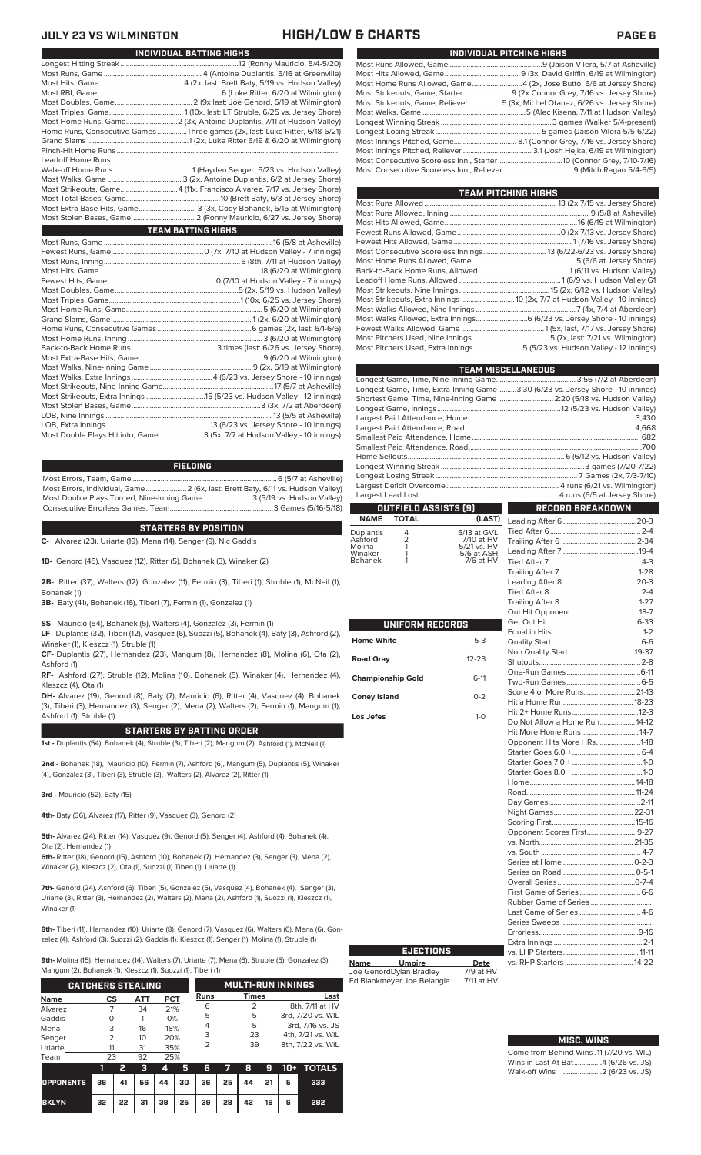## **JULY 23 VS WILMINGTON HIGH/LOW & CHARTS PAGE 6**

| INDIVIDUAL PITCHING HIGHS                                                   |
|-----------------------------------------------------------------------------|
|                                                                             |
|                                                                             |
| Most Home Runs Allowed, Game4 (2x, Jose Butto, 6/6 at Jersey Shore)         |
| Most Strikeouts, Game, Starter 9 (2x Connor Grey, 7/16 vs. Jersey Shore)    |
| Most Strikeouts, Game, Reliever5 (3x, Michel Otanez, 6/26 vs. Jersey Shore) |
|                                                                             |
|                                                                             |
|                                                                             |
|                                                                             |
|                                                                             |
|                                                                             |
|                                                                             |

| TEAM PITCHING HIGHS                                                        |  |
|----------------------------------------------------------------------------|--|
|                                                                            |  |
|                                                                            |  |
|                                                                            |  |
|                                                                            |  |
|                                                                            |  |
|                                                                            |  |
|                                                                            |  |
|                                                                            |  |
|                                                                            |  |
|                                                                            |  |
| Most Strikeouts, Extra Innings  10 (2x, 7/7 at Hudson Valley - 10 innings) |  |
|                                                                            |  |
| Most Walks Allowed, Extra Innings 6 (6/23 vs. Jersey Shore - 10 innings)   |  |
|                                                                            |  |
|                                                                            |  |
| Most Pitchers Used, Extra Innings 5 (5/23 vs. Hudson Valley - 12 innings)  |  |
|                                                                            |  |

|                                                                                | <b>TEAM MISCELLANEOUS</b> |
|--------------------------------------------------------------------------------|---------------------------|
|                                                                                |                           |
| Longest Game, Time, Extra-Inning Game3:30 (6/23 vs. Jersey Shore - 10 innings) |                           |
| Shortest Game, Time, Nine-Inning Game  2:20 (5/18 vs. Hudson Valley)           |                           |
|                                                                                |                           |
|                                                                                |                           |
|                                                                                |                           |
|                                                                                |                           |
|                                                                                |                           |
|                                                                                |                           |
|                                                                                |                           |
|                                                                                |                           |
|                                                                                |                           |
|                                                                                |                           |
| <b>OUTFIELD ASSISTS [9]</b>                                                    | <b>RECORD BREAKDOWN</b>   |

|                      | NAME TOTAL |                           |  |
|----------------------|------------|---------------------------|--|
| Duplantis<br>Ashford |            | 5/13 at GVL               |  |
| Molina               |            | 7/10 at HV<br>5/21 vs. HV |  |
| Winaker              |            | $5/6$ at ASH              |  |

| .              |       |
|----------------|-------|
| Molina         | 5/21v |
| Winaker        | 5/6a  |
| <b>Bohanek</b> | 7/6   |
|                |       |

| UNIFORM RECORDS          |           |
|--------------------------|-----------|
| <b>Iome White</b>        | $5-3$     |
| <b>cad Gray</b>          | $12 - 23$ |
| <b>Championship Gold</b> | $6-11$    |
| Coney Island             | $0 - 2$   |
| os Jefes                 | $1-0$     |
|                          |           |
|                          |           |
|                          |           |
|                          |           |
|                          |           |
|                          |           |
|                          |           |
|                          |           |
|                          |           |
|                          |           |
|                          |           |
|                          |           |

| Score 4 or More Runs 21-13    |  |
|-------------------------------|--|
|                               |  |
|                               |  |
| Do Not Allow a Home Run 14-12 |  |
| Hit More Home Runs  14-7      |  |
| Opponent Hits More HRs1-18    |  |
|                               |  |
|                               |  |
|                               |  |
|                               |  |
|                               |  |
|                               |  |
|                               |  |
|                               |  |
| Opponent Scores First9-27     |  |
|                               |  |
|                               |  |
|                               |  |
|                               |  |
|                               |  |
|                               |  |
| Last Game of Series  4-6      |  |
|                               |  |
|                               |  |
|                               |  |
|                               |  |
|                               |  |
|                               |  |

# **MISC. WINS**

| Come from Behind Wins .11 (7/20 vs. WIL) |  |  |
|------------------------------------------|--|--|
| Wins in Last At-Bat4 (6/26 vs. JS)       |  |  |
|                                          |  |  |

| INDIVIDUAL BATTING HIGHS                                                    |
|-----------------------------------------------------------------------------|
|                                                                             |
|                                                                             |
|                                                                             |
|                                                                             |
|                                                                             |
|                                                                             |
|                                                                             |
| Home Runs, Consecutive Games Three games (2x, last: Luke Ritter, 6/18-6/21) |
|                                                                             |
|                                                                             |
|                                                                             |
|                                                                             |
|                                                                             |
|                                                                             |
|                                                                             |
| Most Extra-Base Hits, Game 3 (3x, Cody Bohanek, 6/15 at Wilmington)         |
|                                                                             |
| <b>TEAM BATTING HIGHS</b>                                                   |
|                                                                             |
|                                                                             |
|                                                                             |
|                                                                             |
|                                                                             |
|                                                                             |
|                                                                             |
|                                                                             |
|                                                                             |
|                                                                             |
|                                                                             |
|                                                                             |
|                                                                             |
|                                                                             |
|                                                                             |
|                                                                             |
|                                                                             |
|                                                                             |
|                                                                             |
|                                                                             |
| Most Double Plays Hit into, Game3 (5x, 7/7 at Hudson Valley - 10 innings)   |

### **FIELDING**

Most Errors, Team, Game...............................................................................6 (5/7 at Asheville) .<br>2 (6x, last: Brett Baty, 6/11 vs. Hudson Valley)<br>3 (5/19 vs. Hudson Valley) Most Double Plays Turned, Nine-Inning Game.......................... 3 (5/19 vs. Hudson Valley) Consecutive Errorless Games, Team...

### **STARTERS BY POSITION**

**C-** Alvarez (23), Uriarte (19), Mena (14), Senger (9), Nic Gaddis

**1B-** Genord (45), Vasquez (12), Ritter (5), Bohanek (3), Winaker (2)

**2B-** Ritter (37), Walters (12), Gonzalez (11), Fermin (3), Tiberi (1), Struble (1), McNeil (1), Bohanek (1)

**3B-** Baty (41), Bohanek (16), Tiberi (7), Fermin (1), Gonzalez (1)

**SS-** Mauricio (54), Bohanek (5), Walters (4), Gonzalez (3), Fermin (1)

**LF-** Duplantis (32), Tiberi (12), Vasquez (6), Suozzi (5), Bohanek (4), Baty (3), Ashford (2), Winaker (1), Kleszcz (1), Struble (1)

**CF-** Duplantis (27), Hernandez (23), Mangum (8), Hernandez (8), Molina (6), Ota (2), Ashford (1)

**RF-** Ashford (27), Struble (12), Molina (10), Bohanek (5), Winaker (4), Hernandez (4), Kleszcz (4), Ota (1)

**DH-** Alvarez (19), Genord (8), Baty (7), Mauricio (6), Ritter (4), Vasquez (4), Bohanek (3), Tiberi (3), Hernandez (3), Senger (2), Mena (2), Walters (2), Fermin (1), Mangum (1), Ashford (1), Struble (1)

### **STARTERS BY BATTING ORDER**

**1st -** Duplantis (54), Bohanek (4), Struble (3), Tiberi (2), Mangum (2), Ashford (1), McNeil (1)

**2nd -** Bohanek (18), Mauricio (10), Fermin (7), Ashford (6), Mangum (5), Duplantis (5), Winaker (4), Gonzalez (3), Tiberi (3), Struble (3), Walters (2), Alvarez (2), Ritter (1)

**3rd -** Mauricio (52), Baty (15)

**4th-** Baty (36), Alvarez (17), Ritter (9), Vasquez (3), Genord (2)

**5th-** Alvarez (24), Ritter (14), Vasquez (9), Genord (5), Senger (4), Ashford (4), Bohanek (4), Ota (2), Hernandez (1)

**6th-** Ritter (18), Genord (15), Ashford (10), Bohanek (7), Hernandez (3), Senger (3), Mena (2), Winaker (2), Kleszcz (2), Ota (1), Suozzi (1) Tiberi (1), Uriarte (1)

**7th-** Genord (24), Ashford (6), Tiberi (5), Gonzalez (5), Vasquez (4), Bohanek (4), Senger (3), Uriarte (3), Ritter (3), Hernandez (2), Walters (2), Mena (2), Ashford (1), Suozzi (1), Kleszcz (1), Winaker (1)

**8th-** Tiberi (11), Hernandez (10), Uriarte (8), Genord (7), Vasquez (6), Walters (6), Mena (6), Gonzalez (4), Ashford (3), Suozzi (2), Gaddis (1), Kleszcz (1), Senger (1), Molina (1), Struble (1)

**9th-** Molina (15), Hernandez (14), Walters (7), Uriarte (7), Mena (6), Struble (5), Gonzalez (3),

um (2), Bohanek (1), Kleszcz (1), Suozzi (1), Tiberi (1)

| <b>CATCHERS STEALING</b> |               |    | <b>MULTI-RUN INNINGS</b> |            |    |                |    |       |    |                   |                 |  |  |
|--------------------------|---------------|----|--------------------------|------------|----|----------------|----|-------|----|-------------------|-----------------|--|--|
| <b>Name</b>              | CS            |    | <b>ATT</b>               | <b>PCT</b> |    | Runs           |    | Times |    |                   | Last            |  |  |
| Alvarez                  |               |    | 34                       | 21%        |    | 6              |    | 2     |    |                   | 8th, 7/11 at HV |  |  |
| Gaddis                   | O             |    |                          | 0%         |    | 5              |    | 5     |    | 3rd, 7/20 vs. WIL |                 |  |  |
| Mena                     | 3             |    | 16                       | 18%        |    | 4              |    | 5     |    | 3rd, 7/16 vs. JS  |                 |  |  |
| Senger                   | $\mathcal{P}$ |    | 10                       | 20%        |    | 3              |    | 23    |    | 4th, 7/21 vs. WIL |                 |  |  |
| Uriarte                  | 11            |    | 31                       | 35%        |    | $\overline{2}$ |    | 39    |    | 8th, 7/22 vs. WIL |                 |  |  |
| Team                     | 23            |    | 92                       | 25%        |    |                |    |       |    |                   |                 |  |  |
|                          | 1             | 2  | з                        | 4          | 5  | 6              | 7  | 8     | 9  | $10+$             | <b>TOTALS</b>   |  |  |
| <b>OPPONENTS</b>         | 36            | 41 | 56                       | 44         | 30 | 36             | 25 | 44    | 21 | 5                 | 333             |  |  |
| <b>BKLYN</b>             | 32            | 22 | 31                       | 39         | 25 | 39             | 28 | 42    | 16 | 6                 | 282             |  |  |

| <u>UNII UNII NLUUNUJ</u> |           |
|--------------------------|-----------|
| <b>Home White</b>        | $5-3$     |
| <b>Road Gray</b>         | $12 - 23$ |
| <b>Championship Gold</b> | $6-11$    |
| <b>Coney Island</b>      | $0 - 2$   |
| Los Jefes                | $1 - 0$   |
|                          |           |
|                          |           |
|                          |           |
|                          |           |
|                          |           |

|      | <b>EJECTIONS</b>        |           |  |
|------|-------------------------|-----------|--|
| Name | <b>Umpire</b>           | Date      |  |
|      | Joe GenordDylan Bradley | 7/9 at HV |  |

Ed Blankmeyer Joe Belangia 7/11 at HV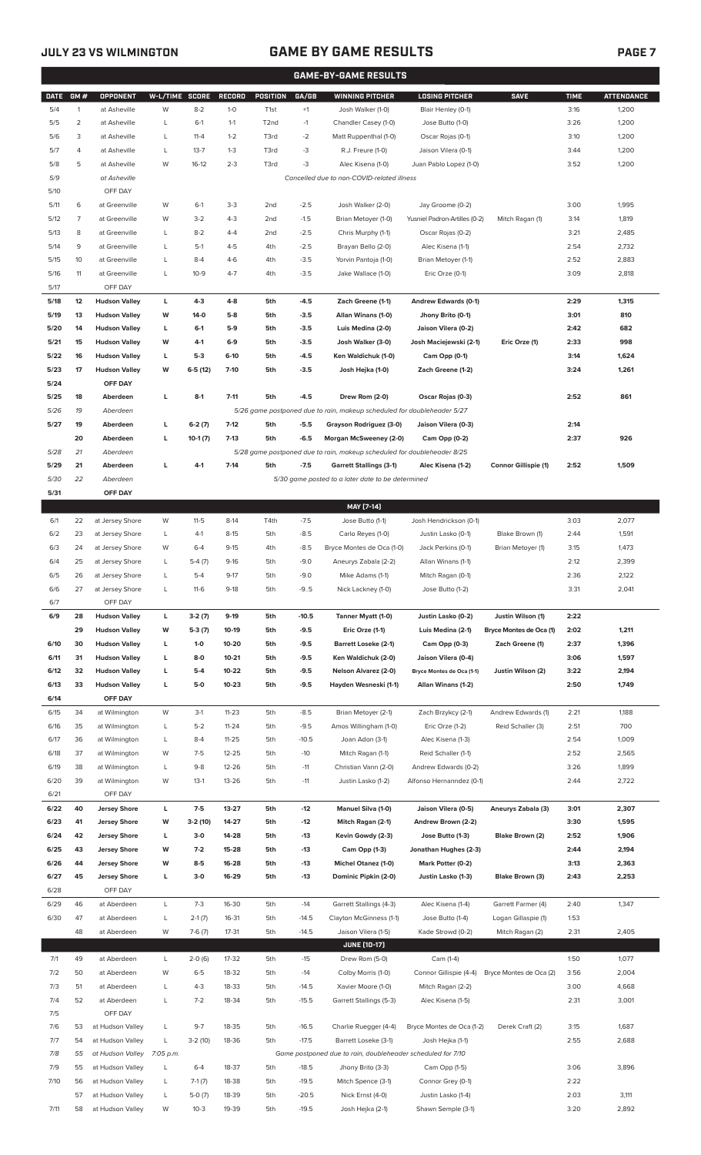## **JULY 23 VS WILMINGTON GAME BY GAME RESULTS**

|--|--|--|

|             |                |                      |                |           |               |                   |         | <b>GAME-BY-GAME RESULTS</b>                                             |                               |                         |             |                   |
|-------------|----------------|----------------------|----------------|-----------|---------------|-------------------|---------|-------------------------------------------------------------------------|-------------------------------|-------------------------|-------------|-------------------|
| <b>DATE</b> | GM#            | <b>OPPONENT</b>      | W-L/TIME SCORE |           | <b>RECORD</b> | POSITION          | GA/GB   | <b>WINNING PITCHER</b>                                                  | <b>LOSING PITCHER</b>         | <b>SAVE</b>             | <b>TIME</b> | <b>ATTENDANCE</b> |
| 5/4         | $\mathbf{1}$   | at Asheville         | W              | $8 - 2$   | $1-0$         | T <sub>1st</sub>  | $+1$    | Josh Walker (1-0)                                                       | Blair Henley (0-1)            |                         | 3:16        | 1,200             |
| 5/5         | $\overline{2}$ | at Asheville         | L              | $6-1$     | $1 - 1$       | T <sub>2</sub> nd | $-1$    | Chandler Casey (1-0)                                                    | Jose Butto (1-0)              |                         | 3:26        | 1,200             |
|             | 3              |                      |                | $11 - 4$  | $1 - 2$       |                   |         |                                                                         |                               |                         |             |                   |
| 5/6         |                | at Asheville         | L              |           |               | T3rd              | $-2$    | Matt Ruppenthal (1-0)                                                   | Oscar Rojas (0-1)             |                         | 3:10        | 1,200             |
| 5/7         | $\overline{4}$ | at Asheville         | Г              | $13 - 7$  | $1 - 3$       | T3rd              | -3      | R.J. Freure (1-0)                                                       | Jaison Vilera (0-1)           |                         | 3:44        | 1,200             |
| 5/8         | 5              | at Asheville         | W              | $16-12$   | $2 - 3$       | T3rd              | $-3$    | Alec Kisena (1-0)                                                       | Juan Pablo Lopez (1-0)        |                         | 3:52        | 1,200             |
| 5/9         |                | at Asheville         |                |           |               |                   |         | Cancelled due to non-COVID-related illness                              |                               |                         |             |                   |
| 5/10        |                | OFF DAY              |                |           |               |                   |         |                                                                         |                               |                         |             |                   |
| 5/11        | 6              | at Greenville        | W              | $6-1$     | $3-3$         | 2 <sub>nd</sub>   | $-2.5$  | Josh Walker (2-0)                                                       | Jay Groome (0-2)              |                         | 3:00        | 1,995             |
| 5/12        | $\overline{7}$ | at Greenville        | W              | $3-2$     | $4 - 3$       | 2 <sub>nd</sub>   | $-1.5$  | Brian Metoyer (1-0)                                                     | Yusniel Padron-Artilles (0-2) | Mitch Ragan (1)         | 3:14        | 1,819             |
| 5/13        | 8              | at Greenville        | L              | $8 - 2$   | $4 - 4$       | 2 <sub>nd</sub>   | $-2.5$  | Chris Murphy (1-1)                                                      | Oscar Rojas (0-2)             |                         | 3:21        | 2,485             |
| 5/14        | 9              | at Greenville        | Г              | $5-1$     | $4 - 5$       | 4th               | $-2.5$  | Brayan Bello (2-0)                                                      | Alec Kisena (1-1)             |                         | 2:54        | 2,732             |
|             |                |                      |                |           |               |                   |         |                                                                         |                               |                         |             |                   |
| 5/15        | 10             | at Greenville        | L              | $8 - 4$   | $4-6$         | 4th               | $-3.5$  | Yorvin Pantoja (1-0)                                                    | Brian Metoyer (1-1)           |                         | 2:52        | 2,883             |
| 5/16        | 11             | at Greenville        | L              | $10-9$    | $4 - 7$       | 4th               | $-3.5$  | Jake Wallace (1-0)                                                      | Eric Orze (0-1)               |                         | 3:09        | 2,818             |
| 5/17        |                | OFF DAY              |                |           |               |                   |         |                                                                         |                               |                         |             |                   |
| 5/18        | 12             | <b>Hudson Valley</b> | L              | $4 - 3$   | $4 - 8$       | 5th               | $-4.5$  | Zach Greene (1-1)                                                       | Andrew Edwards (0-1)          |                         | 2:29        | 1,315             |
| 5/19        | 13             | <b>Hudson Valley</b> | W              | 14-0      | $5-8$         | 5th               | $-3.5$  | Allan Winans (1-0)                                                      | Jhony Brito (0-1)             |                         | 3:01        | 810               |
| 5/20        | 14             | <b>Hudson Valley</b> | L              | $6-1$     | 5-9           | 5th               | $-3.5$  | Luis Medina (2-0)                                                       | Jaison Vilera (0-2)           |                         | 2:42        | 682               |
| 5/21        | 15             | <b>Hudson Valley</b> | W              | 4-1       | $6-9$         | 5th               | $-3.5$  | Josh Walker (3-0)                                                       | Josh Maciejewski (2-1)        | Eric Orze (1)           | 2:33        | 998               |
| 5/22        | 16             | <b>Hudson Valley</b> | г              | $5-3$     | $6-10$        | 5th               | $-4.5$  | Ken Waldichuk (1-0)                                                     | Cam Opp (0-1)                 |                         | 3:14        | 1,624             |
| 5/23        | 17             | <b>Hudson Valley</b> | W              | $6-5(12)$ | $7 - 10$      | 5th               | $-3.5$  | Josh Hejka (1-0)                                                        | Zach Greene (1-2)             |                         | 3:24        | 1,261             |
|             |                |                      |                |           |               |                   |         |                                                                         |                               |                         |             |                   |
| 5/24        |                | OFF DAY              |                |           |               |                   |         |                                                                         |                               |                         |             |                   |
| 5/25        | 18             | Aberdeen             | L              | $8-1$     | $7 - 11$      | 5th               | $-4.5$  | Drew Rom (2-0)                                                          | Oscar Rojas (0-3)             |                         | 2:52        | 861               |
| 5/26        | 19             | Aberdeen             |                |           |               |                   |         | 5/26 game postponed due to rain, makeup scheduled for doubleheader 5/27 |                               |                         |             |                   |
| 5/27        | 19             | Aberdeen             | г              | $6-2(7)$  | $7-12$        | 5th               | $-5.5$  | Grayson Rodriguez (3-0)                                                 | Jaison Vilera (0-3)           |                         | 2:14        |                   |
|             | 20             | Aberdeen             | г              | $10-1(7)$ | $7-13$        | 5th               | $-6.5$  | Morgan McSweeney (2-0)                                                  | Cam Opp (0-2)                 |                         | 2:37        | 926               |
| 5/28        | 21             | Aberdeen             |                |           |               |                   |         | 5/28 game postponed due to rain, makeup scheduled for doubleheader 8/25 |                               |                         |             |                   |
| 5/29        | 21             | Aberdeen             | L              | $4 - 1$   | $7-14$        | 5th               | $-7.5$  | <b>Garrett Stallings (3-1)</b>                                          | Alec Kisena (1-2)             | Connor Gillispie (1)    | 2:52        | 1,509             |
| 5/30        | 22             | Aberdeen             |                |           |               |                   |         | 5/30 game posted to a later date to be determined                       |                               |                         |             |                   |
| 5/31        |                | OFF DAY              |                |           |               |                   |         |                                                                         |                               |                         |             |                   |
|             |                |                      |                |           |               |                   |         |                                                                         |                               |                         |             |                   |
|             |                |                      |                |           |               |                   |         | MAY [7-14]                                                              |                               |                         |             |                   |
| 6/1         | 22             | at Jersey Shore      | W              | $11 - 5$  | $8-14$        | T4th              | $-7.5$  | Jose Butto (1-1)                                                        | Josh Hendrickson (0-1)        |                         | 3:03        | 2,077             |
| 6/2         | 23             | at Jersey Shore      | L              | $4-1$     | $8 - 15$      | 5th               | $-8.5$  | Carlo Reyes (1-0)                                                       | Justin Lasko (0-1)            | Blake Brown (1)         | 2:44        | 1,591             |
| 6/3         | 24             | at Jersey Shore      | W              | $6 - 4$   | $9 - 15$      | 4th               | $-8.5$  | Bryce Montes de Oca (1-0)                                               | Jack Perkins (0-1)            | Brian Metoyer (1)       | 3:15        | 1,473             |
| 6/4         | 25             | at Jersey Shore      | Г              | $5-4(7)$  | $9-16$        | 5th               | $-9.0$  | Aneurys Zabala (2-2)                                                    | Allan Winans (1-1)            |                         | 2:12        | 2,399             |
| 6/5         | 26             | at Jersey Shore      | Г              | $5 - 4$   | $9 - 17$      | 5th               | $-9.0$  | Mike Adams (1-1)                                                        | Mitch Ragan (0-1)             |                         | 2:36        | 2,122             |
| 6/6         | 27             | at Jersey Shore      | L              | $11-6$    | $9-18$        | 5th               | $-9.5$  | Nick Lackney (1-0)                                                      | Jose Butto (1-2)              |                         | 3:31        | 2,041             |
| 6/7         |                | OFF DAY              |                |           |               |                   |         |                                                                         |                               |                         |             |                   |
|             |                |                      |                |           |               |                   |         |                                                                         |                               |                         |             |                   |
| 6/9         | 28             | <b>Hudson Valley</b> | L              | $3-2(7)$  | $9-19$        | 5th               | $-10.5$ | Tanner Myatt (1-0)                                                      | Justin Lasko (0-2)            | Justin Wilson (1)       | 2:22        |                   |
|             | 29             | <b>Hudson Valley</b> | W              | $5-3(7)$  | 10-19         | 5th               | -9.5    | Eric Orze (1-1)                                                         | Luis Medina (2-1)             | Bryce Montes de Oca (1) | 2:02        | 1,211             |
| 6/10        | 30             | <b>Hudson Valley</b> | г              | $1 - 0$   | 10-20         | 5th               | -9.5    | <b>Barrett Loseke (2-1)</b>                                             | Cam Opp (0-3)                 | Zach Greene (1)         | 2:37        | 1,396             |
| 6/11        | 31             | <b>Hudson Valley</b> | г              | 8-0       | $10 - 21$     | 5th               | $-9.5$  | Ken Waldichuk (2-0)                                                     | Jaison Vilera (0-4)           |                         | 3:06        | 1,597             |
| 6/12        | 32             | <b>Hudson Valley</b> | г              | $5-4$     | 10-22         | 5th               | $-9.5$  | <b>Nelson Alvarez (2-0)</b>                                             | Bryce Montes de Oca (1-1)     | Justin Wilson (2)       | 3:22        | 2,194             |
| 6/13        | 33             | <b>Hudson Valley</b> | г              | 5-0       | $10 - 23$     | 5th               | $-9.5$  | Hayden Wesneski (1-1)                                                   | Allan Winans (1-2)            |                         | 2:50        | 1,749             |
| 6/14        |                | OFF DAY              |                |           |               |                   |         |                                                                         |                               |                         |             |                   |
| 6/15        | 34             | at Wilmington        | W              | $3-1$     | $11 - 23$     | 5th               | $-8.5$  | Brian Metoyer (2-1)                                                     | Zach Brzykcy (2-1)            | Andrew Edwards (1)      | 2:21        | 1,188             |
| 6/16        | 35             | at Wilmington        | L              | $5 - 2$   | $11 - 24$     | 5th               | $-9.5$  | Amos Willingham (1-0)                                                   | Eric Orze (1-2)               | Reid Schaller (3)       | 2:51        | 700               |
|             |                |                      |                |           |               |                   |         |                                                                         |                               |                         |             |                   |
| 6/17        | 36             | at Wilmington        | L              | $8 - 4$   | $11 - 25$     | 5th               | $-10.5$ | Joan Adon (3-1)                                                         | Alec Kisena (1-3)             |                         | 2:54        | 1,009             |
| 6/18        | 37             | at Wilmington        | W              | $7-5$     | $12 - 25$     | 5th               | $-10$   | Mitch Ragan (1-1)                                                       | Reid Schaller (1-1)           |                         | 2:52        | 2,565             |
| 6/19        | 38             | at Wilmington        | L              | $9 - 8$   | 12-26         | 5th               | $-11$   | Christian Vann (2-0)                                                    | Andrew Edwards (0-2)          |                         | 3:26        | 1,899             |
| 6/20        | 39             | at Wilmington        | W              | $13-1$    | $13 - 26$     | 5th               | $-11$   | Justin Lasko (1-2)                                                      | Alfonso Hernanndez (0-1)      |                         | 2:44        | 2,722             |
| 6/21        |                | OFF DAY              |                |           |               |                   |         |                                                                         |                               |                         |             |                   |
| 6/22        | 40             | <b>Jersey Shore</b>  | L              | $7-5$     | 13-27         | 5th               | $-12$   | Manuel Silva (1-0)                                                      | Jaison Vilera (0-5)           | Aneurys Zabala (3)      | 3:01        | 2,307             |
| 6/23        | 41             | <b>Jersey Shore</b>  | W              | $3-2(10)$ | 14-27         | 5th               | $-12$   | Mitch Ragan (2-1)                                                       | Andrew Brown (2-2)            |                         | 3:30        | 1,595             |
| 6/24        | 42             | <b>Jersey Shore</b>  | L              | $3-0$     | 14-28         | 5th               | $-13$   | Kevin Gowdy (2-3)                                                       | Jose Butto (1-3)              | Blake Brown (2)         | 2:52        | 1,906             |
|             | 43             |                      | W              | $7-2$     | 15-28         | 5th               |         |                                                                         |                               |                         | 2:44        |                   |
| 6/25        |                | <b>Jersey Shore</b>  |                |           |               |                   | $-13$   | Cam Opp (1-3)                                                           | Jonathan Hughes (2-3)         |                         |             | 2,194             |
| 6/26        | 44             | <b>Jersey Shore</b>  | W              | $8 - 5$   | 16-28         | 5th               | $-13$   | Michel Otanez (1-0)                                                     | Mark Potter (0-2)             |                         | 3:13        | 2,363             |
| 6/27        | 45             | <b>Jersey Shore</b>  | г              | $3-0$     | 16-29         | 5th               | $-13$   | Dominic Pipkin (2-0)                                                    | Justin Lasko (1-3)            | Blake Brown (3)         | 2:43        | 2,253             |
| 6/28        |                | OFF DAY              |                |           |               |                   |         |                                                                         |                               |                         |             |                   |
| 6/29        | 46             | at Aberdeen          | L              | $7 - 3$   | 16-30         | 5th               | $-14$   | Garrett Stallings (4-3)                                                 | Alec Kisena (1-4)             | Garrett Farmer (4)      | 2:40        | 1,347             |
| 6/30        | 47             | at Aberdeen          | L              | $2-1(7)$  | 16-31         | 5th               | $-14.5$ | Clayton McGinness (1-1)                                                 | Jose Butto (1-4)              | Logan Gillaspie (1)     | 1:53        |                   |
|             | 48             | at Aberdeen          | W              | $7-6(7)$  | 17-31         | 5th               | $-14.5$ | Jaison Vilera (1-5)                                                     | Kade Strowd (0-2)             | Mitch Ragan (2)         | 2:31        | 2,405             |
|             |                |                      |                |           |               |                   |         | <b>JUNE [10-17]</b>                                                     |                               |                         |             |                   |
|             |                |                      |                |           |               |                   |         |                                                                         |                               |                         |             |                   |
| 7/1         | 49             | at Aberdeen          | L              | $2-0(6)$  | 17-32         | 5th               | $-15$   | Drew Rom (5-0)                                                          | Cam (1-4)                     |                         | 1:50        | 1,077             |
| 7/2         | 50             | at Aberdeen          | W              | $6 - 5$   | 18-32         | 5th               | $-14$   | Colby Morris (1-0)                                                      | Connor Gillispie (4-4)        | Bryce Montes de Oca (2) | 3:56        | 2,004             |
| 7/3         | 51             | at Aberdeen          | L              | $4 - 3$   | 18-33         | 5th               | $-14.5$ | Xavier Moore (1-0)                                                      | Mitch Ragan (2-2)             |                         | 3:00        | 4,668             |
| 7/4         | 52             | at Aberdeen          | L              | $7 - 2$   | 18-34         | 5th               | $-15.5$ | Garrett Stallings (5-3)                                                 | Alec Kisena (1-5)             |                         | 2:31        | 3,001             |
| 7/5         |                | OFF DAY              |                |           |               |                   |         |                                                                         |                               |                         |             |                   |
| 7/6         | 53             | at Hudson Valley     | L              | $9 - 7$   | 18-35         | 5th               | $-16.5$ | Charlie Ruegger (4-4)                                                   | Bryce Montes de Oca (1-2)     | Derek Craft (2)         | 3:15        | 1,687             |
| 7/7         | 54             | at Hudson Valley     | L              | $3-2(10)$ | 18-36         | 5th               | $-17.5$ | Barrett Loseke (3-1)                                                    | Josh Hejka (1-1)              |                         | 2:55        | 2,688             |
| 7/8         | 55             | at Hudson Valley     | 7:05 p.m.      |           |               |                   |         | Game postponed due to rain, doubleheader scheduled for 7/10             |                               |                         |             |                   |
| 7/9         | 55             | at Hudson Valley     | L              | $6 - 4$   | 18-37         | 5th               | $-18.5$ | Jhony Brito (3-3)                                                       | Cam Opp (1-5)                 |                         | 3:06        | 3,896             |
|             |                |                      |                |           |               |                   |         |                                                                         |                               |                         |             |                   |
| 7/10        | 56             | at Hudson Valley     | L              | $7-1(7)$  | 18-38         | 5th               | $-19.5$ | Mitch Spence (3-1)                                                      | Connor Grey (0-1)             |                         | 2:22        |                   |
|             | 57             | at Hudson Valley     | L              | $5-0(7)$  | 18-39         | 5th               | $-20.5$ | Nick Ernst (4-0)                                                        | Justin Lasko (1-4)            |                         | 2:03        | 3,111             |
| 7/11        |                | 58 at Hudson Valley  | W              | $10-3$    | 19-39         | 5th               | $-19.5$ | Josh Hejka (2-1)                                                        | Shawn Semple (3-1)            |                         | 3:20        | 2,892             |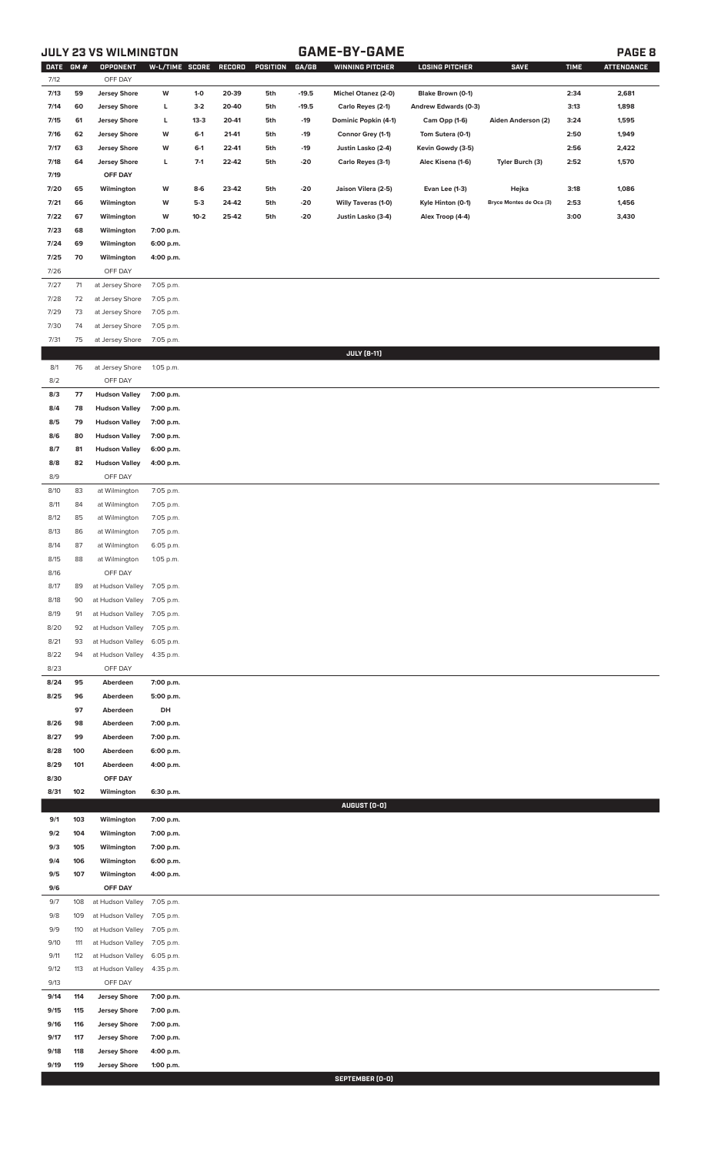# **JULY 23 VS WILMINGTON GAME-BY-GAME PAGE 8**

| DATE GM#<br>7/12 |          | OPPONENT<br>OFF DAY                | W-L/TIME SCORE RECORD  |        |       | POSITION GA/GB |         | <b>WINNING PITCHER</b> | <b>LOSING PITCHER</b> | <b>SAVE</b>             | <b>TIME</b> | <b>ATTENDANCE</b> |
|------------------|----------|------------------------------------|------------------------|--------|-------|----------------|---------|------------------------|-----------------------|-------------------------|-------------|-------------------|
| 7/13             | 59       | <b>Jersey Shore</b>                | W                      | $1-0$  | 20-39 | 5th            | $-19.5$ | Michel Otanez (2-0)    | Blake Brown (0-1)     |                         | 2:34        | 2,681             |
| 7/14             | 60       | <b>Jersey Shore</b>                | L                      | $3-2$  | 20-40 | 5th            | $-19.5$ | Carlo Reyes (2-1)      | Andrew Edwards (0-3)  |                         | 3:13        | 1,898             |
| 7/15             | 61       | <b>Jersey Shore</b>                | L                      | $13-3$ | 20-41 | 5th            | $-19$   | Dominic Popkin (4-1)   | Cam Opp (1-6)         | Aiden Anderson (2)      | 3:24        | 1,595             |
| 7/16             | 62       | <b>Jersey Shore</b>                | W                      | $6-1$  | 21-41 | 5th            | $-19$   | Connor Grey (1-1)      | Tom Sutera (0-1)      |                         | 2:50        | 1,949             |
| 7/17             | 63       | <b>Jersey Shore</b>                | W                      | $6-1$  | 22-41 | 5th            | $-19$   | Justin Lasko (2-4)     | Kevin Gowdy (3-5)     |                         | 2:56        | 2,422             |
| 7/18             | 64       | <b>Jersey Shore</b>                | L                      | $7-1$  | 22-42 | 5th            | $-20$   | Carlo Reyes (3-1)      | Alec Kisena (1-6)     | Tyler Burch (3)         | 2:52        | 1,570             |
| 7/19             |          | OFF DAY                            |                        |        |       |                |         |                        |                       |                         |             |                   |
|                  |          |                                    |                        |        |       |                |         |                        |                       |                         |             |                   |
| 7/20             | 65       | Wilmington                         | W                      | $8-6$  | 23-42 | 5th            | $-20$   | Jaison Vilera (2-5)    | Evan Lee (1-3)        | Hejka                   | 3:18        | 1,086             |
| 7/21             | 66       | Wilmington                         | W                      | $5-3$  | 24-42 | 5th            | $-20$   | Willy Taveras (1-0)    | Kyle Hinton (0-1)     | Bryce Montes de Oca (3) | 2:53        | 1,456             |
| 7/22             | 67       | Wilmington                         | W                      | $10-2$ | 25-42 | 5th            | $-20$   | Justin Lasko (3-4)     | Alex Troop (4-4)      |                         | 3:00        | 3,430             |
| 7/23             | 68<br>69 | Wilmington                         | 7:00 p.m.              |        |       |                |         |                        |                       |                         |             |                   |
| 7/24             | 70       | Wilmington                         | 6:00 p.m.              |        |       |                |         |                        |                       |                         |             |                   |
| 7/25             |          | Wilmington                         | 4:00 p.m.              |        |       |                |         |                        |                       |                         |             |                   |
| 7/26<br>7/27     | 71       | OFF DAY                            |                        |        |       |                |         |                        |                       |                         |             |                   |
|                  |          | at Jersey Shore<br>at Jersey Shore | 7:05 p.m.              |        |       |                |         |                        |                       |                         |             |                   |
| 7/28             | 72       |                                    | 7:05 p.m.<br>7:05 p.m. |        |       |                |         |                        |                       |                         |             |                   |
| 7/29<br>7/30     | 73<br>74 | at Jersey Shore<br>at Jersey Shore | 7:05 p.m.              |        |       |                |         |                        |                       |                         |             |                   |
| 7/31             |          |                                    |                        |        |       |                |         |                        |                       |                         |             |                   |
|                  | 75       | at Jersey Shore                    | 7:05 p.m.              |        |       |                |         | <b>JULY [8-11]</b>     |                       |                         |             |                   |
| 8/1              | 76       | at Jersey Shore                    | 1:05 p.m.              |        |       |                |         |                        |                       |                         |             |                   |
| 8/2              |          | OFF DAY                            |                        |        |       |                |         |                        |                       |                         |             |                   |
| 8/3              | 77       | <b>Hudson Valley</b>               | 7:00 p.m.              |        |       |                |         |                        |                       |                         |             |                   |
| 8/4              | 78       | <b>Hudson Valley</b>               | 7:00 p.m.              |        |       |                |         |                        |                       |                         |             |                   |
| 8/5              | 79       | <b>Hudson Valley</b>               | 7:00 p.m.              |        |       |                |         |                        |                       |                         |             |                   |
| 8/6              | 80       | <b>Hudson Valley</b>               | 7:00 p.m.              |        |       |                |         |                        |                       |                         |             |                   |
| 8/7              | 81       | <b>Hudson Valley</b>               | 6:00 p.m.              |        |       |                |         |                        |                       |                         |             |                   |
| 8/8              | 82       | <b>Hudson Valley</b>               | 4:00 p.m.              |        |       |                |         |                        |                       |                         |             |                   |
| 8/9              |          | OFF DAY                            |                        |        |       |                |         |                        |                       |                         |             |                   |
| 8/10             | 83       | at Wilmington                      | 7:05 p.m.              |        |       |                |         |                        |                       |                         |             |                   |
| 8/11             | 84       | at Wilmington                      | 7:05 p.m.              |        |       |                |         |                        |                       |                         |             |                   |
| 8/12             | 85       | at Wilmington                      | 7:05 p.m.              |        |       |                |         |                        |                       |                         |             |                   |
| 8/13             | 86       | at Wilmington                      | 7:05 p.m.              |        |       |                |         |                        |                       |                         |             |                   |
| 8/14             | 87       | at Wilmington                      | 6:05 p.m.              |        |       |                |         |                        |                       |                         |             |                   |
| 8/15             | 88       | at Wilmington                      | 1:05 p.m.              |        |       |                |         |                        |                       |                         |             |                   |
| 8/16             |          | OFF DAY                            |                        |        |       |                |         |                        |                       |                         |             |                   |
| 8/17             | 89       | at Hudson Valley                   | 7:05 p.m.              |        |       |                |         |                        |                       |                         |             |                   |
| 8/18             | 90       | at Hudson Valley                   | 7:05 p.m.              |        |       |                |         |                        |                       |                         |             |                   |
| 8/19             | 91       | at Hudson Valley                   | 7:05 p.m.              |        |       |                |         |                        |                       |                         |             |                   |
| 8/20             | 92       | at Hudson Valley                   | 7:05 p.m.              |        |       |                |         |                        |                       |                         |             |                   |
| 8/21             | 93       | at Hudson Valley                   | 6:05 p.m.              |        |       |                |         |                        |                       |                         |             |                   |
| 8/22             | 94       | at Hudson Valley                   | 4:35 p.m.              |        |       |                |         |                        |                       |                         |             |                   |
| 8/23             |          | OFF DAY                            |                        |        |       |                |         |                        |                       |                         |             |                   |
| 8/24             | 95       | Aberdeen                           | 7:00 p.m.              |        |       |                |         |                        |                       |                         |             |                   |
| 8/25             | 96       | Aberdeen                           | 5:00 p.m.              |        |       |                |         |                        |                       |                         |             |                   |
|                  | 97       | Aberdeen                           | DH                     |        |       |                |         |                        |                       |                         |             |                   |
| 8/26             | 98       | Aberdeen                           | 7:00 p.m.              |        |       |                |         |                        |                       |                         |             |                   |
| 8/27             | 99       | Aberdeen                           | 7:00 p.m.              |        |       |                |         |                        |                       |                         |             |                   |
| 8/28             | 100      | Aberdeen                           | 6:00 p.m.              |        |       |                |         |                        |                       |                         |             |                   |
| 8/29             | 101      | Aberdeen                           | 4:00 p.m.              |        |       |                |         |                        |                       |                         |             |                   |
| 8/30             |          | OFF DAY                            |                        |        |       |                |         |                        |                       |                         |             |                   |
| 8/31             | 102      | Wilmington                         | 6:30 p.m.              |        |       |                |         |                        |                       |                         |             |                   |
|                  | 103      |                                    |                        |        |       |                |         | AUGUST (0-0)           |                       |                         |             |                   |
| 9/1<br>9/2       | 104      | Wilmington<br>Wilmington           | 7:00 p.m.<br>7:00 p.m. |        |       |                |         |                        |                       |                         |             |                   |
| 9/3              | 105      | Wilmington                         | 7:00 p.m.              |        |       |                |         |                        |                       |                         |             |                   |
| 9/4              | 106      | Wilmington                         | 6:00 p.m.              |        |       |                |         |                        |                       |                         |             |                   |
| 9/5              | 107      | Wilmington                         | 4:00 p.m.              |        |       |                |         |                        |                       |                         |             |                   |
| 9/6              |          | OFF DAY                            |                        |        |       |                |         |                        |                       |                         |             |                   |
| 9/7              | 108      | at Hudson Valley                   | 7:05 p.m.              |        |       |                |         |                        |                       |                         |             |                   |
| 9/8              | 109      | at Hudson Valley                   | 7:05 p.m.              |        |       |                |         |                        |                       |                         |             |                   |
| 9/9              | 110      | at Hudson Valley                   | 7:05 p.m.              |        |       |                |         |                        |                       |                         |             |                   |
| 9/10             | 111      | at Hudson Valley                   | 7:05 p.m.              |        |       |                |         |                        |                       |                         |             |                   |
| 9/11             | 112      | at Hudson Valley                   | 6:05 p.m.              |        |       |                |         |                        |                       |                         |             |                   |
| 9/12             | 113      | at Hudson Valley                   | 4:35 p.m.              |        |       |                |         |                        |                       |                         |             |                   |
| 9/13             |          | OFF DAY                            |                        |        |       |                |         |                        |                       |                         |             |                   |
| 9/14             | 114      | <b>Jersey Shore</b>                | 7:00 p.m.              |        |       |                |         |                        |                       |                         |             |                   |
| 9/15             | 115      | <b>Jersey Shore</b>                | 7:00 p.m.              |        |       |                |         |                        |                       |                         |             |                   |
| 9/16             | 116      | <b>Jersey Shore</b>                | 7:00 p.m.              |        |       |                |         |                        |                       |                         |             |                   |
| 9/17             | 117      | <b>Jersey Shore</b>                | 7:00 p.m.              |        |       |                |         |                        |                       |                         |             |                   |
| 9/18             | 118      | <b>Jersey Shore</b>                | 4:00 p.m.              |        |       |                |         |                        |                       |                         |             |                   |
| 9/19             | 119      | <b>Jersey Shore</b>                | 1:00 p.m.              |        |       |                |         |                        |                       |                         |             |                   |
|                  |          |                                    |                        |        |       |                |         | SEPTEMBER (0-0)        |                       |                         |             |                   |